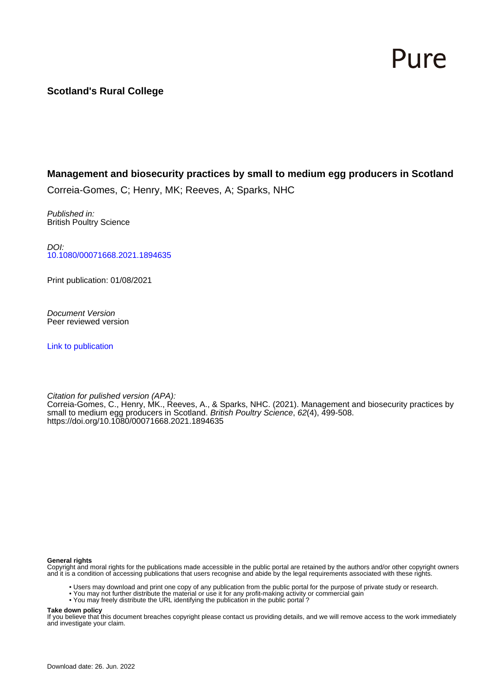# Pure

# **Scotland's Rural College**

# **Management and biosecurity practices by small to medium egg producers in Scotland**

Correia-Gomes, C; Henry, MK; Reeves, A; Sparks, NHC

Published in: British Poultry Science

DOI: [10.1080/00071668.2021.1894635](https://doi.org/10.1080/00071668.2021.1894635)

Print publication: 01/08/2021

Document Version Peer reviewed version

[Link to publication](https://pure.sruc.ac.uk/en/publications/bba44053-c16e-4ad3-8f1c-603691e01794)

Citation for pulished version (APA): Correia-Gomes, C., Henry, MK., Reeves, A., & Sparks, NHC. (2021). Management and biosecurity practices by small to medium egg producers in Scotland. *British Poultry Science*, 62(4), 499-508. <https://doi.org/10.1080/00071668.2021.1894635>

#### **General rights**

Copyright and moral rights for the publications made accessible in the public portal are retained by the authors and/or other copyright owners and it is a condition of accessing publications that users recognise and abide by the legal requirements associated with these rights.

- Users may download and print one copy of any publication from the public portal for the purpose of private study or research.
- You may not further distribute the material or use it for any profit-making activity or commercial gain
- You may freely distribute the URL identifying the publication in the public portal ?

#### **Take down policy**

If you believe that this document breaches copyright please contact us providing details, and we will remove access to the work immediately and investigate your claim.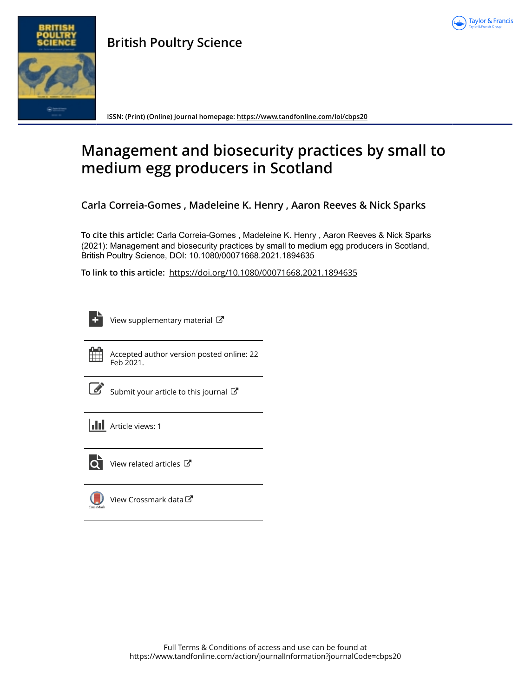

# **British Poultry Science**



**ISSN: (Print) (Online) Journal homepage:<https://www.tandfonline.com/loi/cbps20>**

# **Management and biosecurity practices by small to medium egg producers in Scotland**

**Carla Correia-Gomes , Madeleine K. Henry , Aaron Reeves & Nick Sparks**

**To cite this article:** Carla Correia-Gomes , Madeleine K. Henry , Aaron Reeves & Nick Sparks (2021): Management and biosecurity practices by small to medium egg producers in Scotland, British Poultry Science, DOI: [10.1080/00071668.2021.1894635](https://www.tandfonline.com/action/showCitFormats?doi=10.1080/00071668.2021.1894635)

**To link to this article:** <https://doi.org/10.1080/00071668.2021.1894635>



[View supplementary material](https://www.tandfonline.com/doi/suppl/10.1080/00071668.2021.1894635)  $\mathbb{Z}$ 



Accepted author version posted online: 22 Feb 2021.

| <b>Service Service</b><br>I |
|-----------------------------|
|                             |

[Submit your article to this journal](https://www.tandfonline.com/action/authorSubmission?journalCode=cbps20&show=instructions)  $\mathbb{Z}$ 

**III** Article views: 1



 $\overline{Q}$  [View related articles](https://www.tandfonline.com/doi/mlt/10.1080/00071668.2021.1894635)  $\overline{C}$ 

[View Crossmark data](http://crossmark.crossref.org/dialog/?doi=10.1080/00071668.2021.1894635&domain=pdf&date_stamp=2021-02-22) $\mathbb{Z}$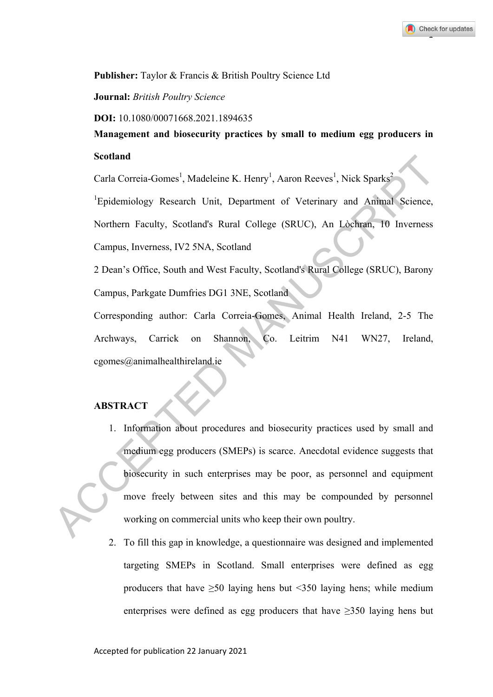# **Publisher:** Taylor & Francis & British Poultry Science Ltd

# **Journal:** *British Poultry Science*

**DOI:** 10.1080/00071668.2021.1894635

**Management and biosecurity practices by small to medium egg producers in Scotland** 

Carla Correia-Gomes<sup>1</sup>, Madeleine K. Henry<sup>1</sup>, Aaron Reeves<sup>1</sup>, Nick Sparks<sup>2</sup>

<sup>1</sup>Epidemiology Research Unit, Department of Veterinary and Animal Science, Northern Faculty, Scotland's Rural College (SRUC), An Lòchran, 10 Inverness Campus, Inverness, IV2 5NA, Scotland

2 Dean's Office, South and West Faculty, Scotland's Rural College (SRUC), Barony Campus, Parkgate Dumfries DG1 3NE, Scotland

Corresponding author: Carla Correia-Gomes, Animal Health Ireland, 2-5 The Archways, Carrick on Shannon, Co. Leitrim N41 WN27, Ireland, cgomes@animalhealthireland.ie

# **ABSTRACT**

- 1. Information about procedures and biosecurity practices used by small and medium egg producers (SMEPs) is scarce. Anecdotal evidence suggests that biosecurity in such enterprises may be poor, as personnel and equipment move freely between sites and this may be compounded by personnel working on commercial units who keep their own poultry. Carla Correia-Gomes<sup>1</sup>, Madeleine K. Henry<sup>1</sup>, Aaron Reeves<sup>1</sup>, Nick Sparks<sup>2</sup><br>
<sup>1</sup>Epidemiology Research Unit, Department of Veterinary and Animal Seience,<br>
Northern Faculty, Seotland's Rural College (SRUC), An Lòchtan, 10
	- 2. To fill this gap in knowledge, a questionnaire was designed and implemented targeting SMEPs in Scotland. Small enterprises were defined as egg producers that have  $\geq 50$  laying hens but <350 laying hens; while medium enterprises were defined as egg producers that have  $\geq$ 350 laying hens but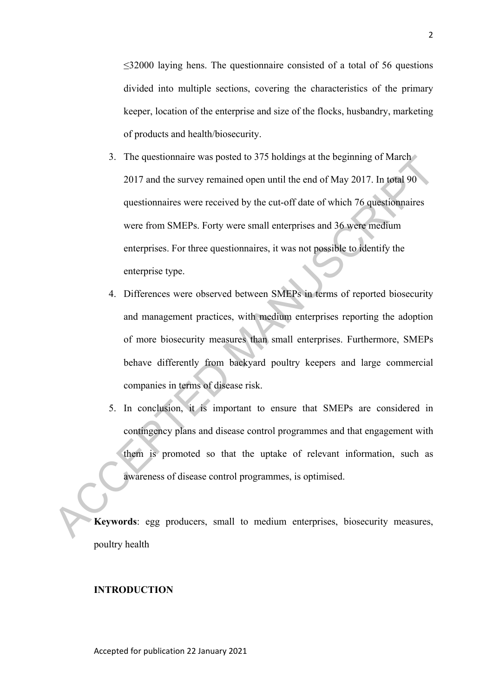$\leq$ 32000 laying hens. The questionnaire consisted of a total of 56 questions divided into multiple sections, covering the characteristics of the primary keeper, location of the enterprise and size of the flocks, husbandry, marketing of products and health/biosecurity.

- 3. The questionnaire was posted to 375 holdings at the beginning of March 2017 and the survey remained open until the end of May 2017. In total 90 questionnaires were received by the cut-off date of which 76 questionnaires were from SMEPs. Forty were small enterprises and 36 were medium enterprises. For three questionnaires, it was not possible to identify the enterprise type. 3. The questionnaire was posted to 3/3 holdings at the beginning of March 2017 and the survey remained open until the end of May 2017. In total 90 questionnaires were received by the cut-off date of which 76 questionnaires
	- 4. Differences were observed between SMEPs in terms of reported biosecurity and management practices, with medium enterprises reporting the adoption of more biosecurity measures than small enterprises. Furthermore, SMEPs behave differently from backyard poultry keepers and large commercial companies in terms of disease risk.
	- 5. In conclusion, it is important to ensure that SMEPs are considered in contingency plans and disease control programmes and that engagement with them is promoted so that the uptake of relevant information, such as awareness of disease control programmes, is optimised.

**Keywords**: egg producers, small to medium enterprises, biosecurity measures, poultry health

#### **INTRODUCTION**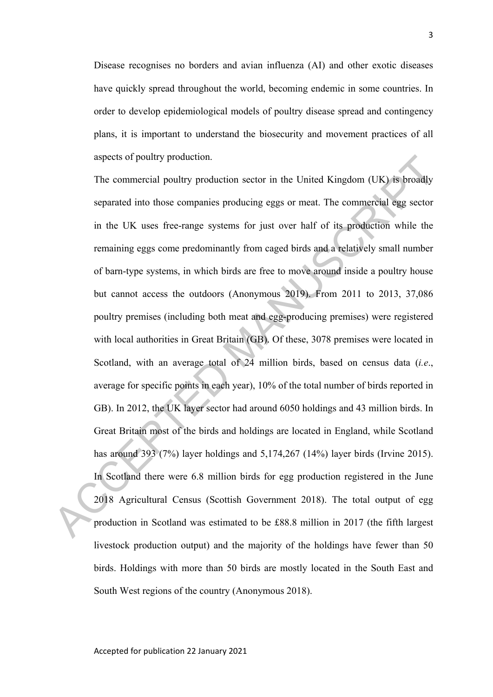Disease recognises no borders and avian influenza (AI) and other exotic diseases have quickly spread throughout the world, becoming endemic in some countries. In order to develop epidemiological models of poultry disease spread and contingency plans, it is important to understand the biosecurity and movement practices of all aspects of poultry production.

The commercial poultry production sector in the United Kingdom (UK) is broadly separated into those companies producing eggs or meat. The commercial egg sector in the UK uses free-range systems for just over half of its production while the remaining eggs come predominantly from caged birds and a relatively small number of barn-type systems, in which birds are free to move around inside a poultry house but cannot access the outdoors (Anonymous 2019). From 2011 to 2013, 37,086 poultry premises (including both meat and egg-producing premises) were registered with local authorities in Great Britain (GB). Of these, 3078 premises were located in Scotland, with an average total of 24 million birds, based on census data (*i.e*., average for specific points in each year), 10% of the total number of birds reported in GB). In 2012, the UK layer sector had around 6050 holdings and 43 million birds. In Great Britain most of the birds and holdings are located in England, while Scotland has around 393 (7%) layer holdings and 5,174,267 (14%) layer birds (Irvine 2015). In Scotland there were 6.8 million birds for egg production registered in the June 2018 Agricultural Census (Scottish Government 2018). The total output of egg production in Scotland was estimated to be £88.8 million in 2017 (the fifth largest livestock production output) and the majority of the holdings have fewer than 50 birds. Holdings with more than 50 birds are mostly located in the South East and South West regions of the country (Anonymous 2018). aspects of poultry production.<br>The commercial poultry production sector in the United Kingdom (UK) is broadly<br>separated into those companies producing eggs or meat. The commercial egg sector<br>in the UK uses free-range syst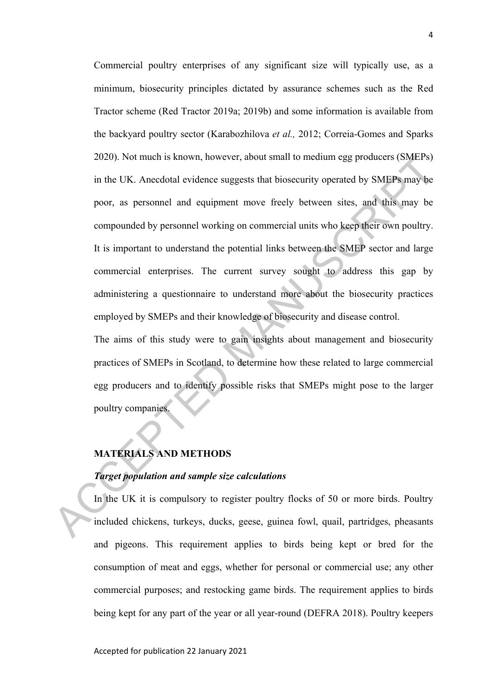Commercial poultry enterprises of any significant size will typically use, as a minimum, biosecurity principles dictated by assurance schemes such as the Red Tractor scheme (Red Tractor 2019a; 2019b) and some information is available from the backyard poultry sector (Karabozhilova *et al.,* 2012; Correia-Gomes and Sparks 2020). Not much is known, however, about small to medium egg producers (SMEPs) in the UK. Anecdotal evidence suggests that biosecurity operated by SMEPs may be poor, as personnel and equipment move freely between sites, and this may be compounded by personnel working on commercial units who keep their own poultry. It is important to understand the potential links between the SMEP sector and large commercial enterprises. The current survey sought to address this gap by administering a questionnaire to understand more about the biosecurity practices employed by SMEPs and their knowledge of biosecurity and disease control. 2020). Not much is known, however, about small to medium egg producers (SMEPs)<br>in the UK. Anecdotal evidence suggests that biosecurity operated by SMEPs may be<br>poor, as personnel and equipment move freely between sites, an

The aims of this study were to gain insights about management and biosecurity practices of SMEPs in Scotland, to determine how these related to large commercial egg producers and to identify possible risks that SMEPs might pose to the larger poultry companies.

# **MATERIALS AND METHODS**

## *Target population and sample size calculations*

In the UK it is compulsory to register poultry flocks of 50 or more birds. Poultry included chickens, turkeys, ducks, geese, guinea fowl, quail, partridges, pheasants and pigeons. This requirement applies to birds being kept or bred for the consumption of meat and eggs, whether for personal or commercial use; any other commercial purposes; and restocking game birds. The requirement applies to birds being kept for any part of the year or all year-round (DEFRA 2018). Poultry keepers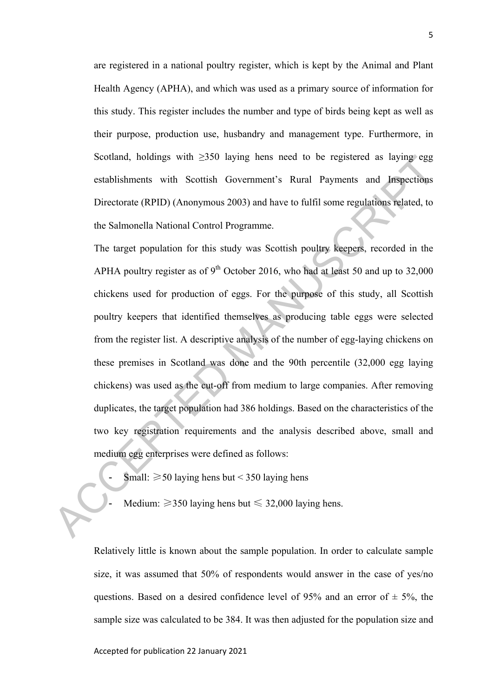are registered in a national poultry register, which is kept by the Animal and Plant Health Agency (APHA), and which was used as a primary source of information for this study. This register includes the number and type of birds being kept as well as their purpose, production use, husbandry and management type. Furthermore, in Scotland, holdings with  $\geq$ 350 laying hens need to be registered as laying egg establishments with Scottish Government's Rural Payments and Inspections Directorate (RPID) (Anonymous 2003) and have to fulfil some regulations related, to the Salmonella National Control Programme.

The target population for this study was Scottish poultry keepers, recorded in the APHA poultry register as of  $9<sup>th</sup>$  October 2016, who had at least 50 and up to 32,000 chickens used for production of eggs. For the purpose of this study, all Scottish poultry keepers that identified themselves as producing table eggs were selected from the register list. A descriptive analysis of the number of egg-laying chickens on these premises in Scotland was done and the 90th percentile (32,000 egg laying chickens) was used as the cut-off from medium to large companies. After removing duplicates, the target population had 386 holdings. Based on the characteristics of the two key registration requirements and the analysis described above, small and medium egg enterprises were defined as follows: Scotland, holdings with  $\geq$ 350 laying hens need to be registered as laying egg<br>establishments with Scottish Government's Rural Payments and Jaspections<br>Directorate (RPID) (Anonymous 2003) and have to fulfil some regulat

- Small:  $\geq$  50 laying hens but < 350 laying hens
- Medium:  $\geq$ 350 laying hens but  $\leq$  32,000 laying hens.

Relatively little is known about the sample population. In order to calculate sample size, it was assumed that 50% of respondents would answer in the case of yes/no questions. Based on a desired confidence level of 95% and an error of  $\pm$  5%, the sample size was calculated to be 384. It was then adjusted for the population size and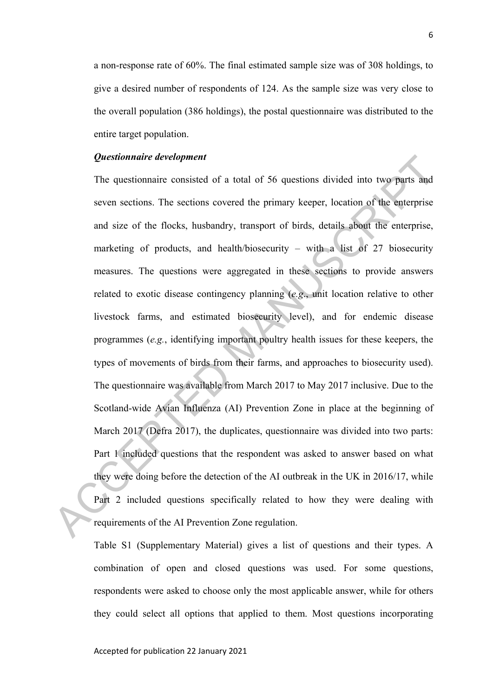a non-response rate of 60%. The final estimated sample size was of 308 holdings, to give a desired number of respondents of 124. As the sample size was very close to the overall population (386 holdings), the postal questionnaire was distributed to the entire target population.

### *Questionnaire development*

The questionnaire consisted of a total of 56 questions divided into two parts and seven sections. The sections covered the primary keeper, location of the enterprise and size of the flocks, husbandry, transport of birds, details about the enterprise, marketing of products, and health/biosecurity – with a list of  $27$  biosecurity measures. The questions were aggregated in these sections to provide answers related to exotic disease contingency planning (*e.g*., unit location relative to other livestock farms, and estimated biosecurity level), and for endemic disease programmes (*e.g.*, identifying important poultry health issues for these keepers, the types of movements of birds from their farms, and approaches to biosecurity used). The questionnaire was available from March 2017 to May 2017 inclusive. Due to the Scotland-wide Avian Influenza (AI) Prevention Zone in place at the beginning of March 2017 (Defra 2017), the duplicates, questionnaire was divided into two parts: Part 1 included questions that the respondent was asked to answer based on what they were doing before the detection of the AI outbreak in the UK in 2016/17, while Part 2 included questions specifically related to how they were dealing with requirements of the AI Prevention Zone regulation. **Questionnaire development**<br>The questionnaire consisted of a total of 56 questions divided into two parts and<br>seven sections. The sections covered the primary keeper, location of the enterprise<br>and size of the flocks, hus

> Table S1 (Supplementary Material) gives a list of questions and their types. A combination of open and closed questions was used. For some questions, respondents were asked to choose only the most applicable answer, while for others they could select all options that applied to them. Most questions incorporating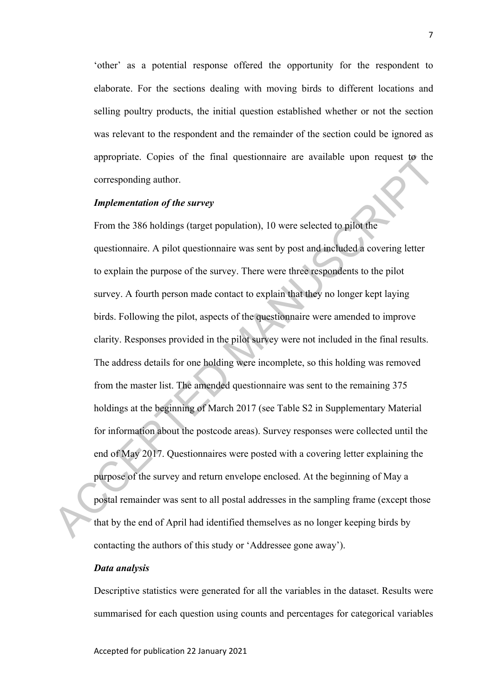'other' as a potential response offered the opportunity for the respondent to elaborate. For the sections dealing with moving birds to different locations and selling poultry products, the initial question established whether or not the section was relevant to the respondent and the remainder of the section could be ignored as appropriate. Copies of the final questionnaire are available upon request to the corresponding author.

### *Implementation of the survey*

From the 386 holdings (target population), 10 were selected to pilot the questionnaire. A pilot questionnaire was sent by post and included a covering letter to explain the purpose of the survey. There were three respondents to the pilot survey. A fourth person made contact to explain that they no longer kept laying birds. Following the pilot, aspects of the questionnaire were amended to improve clarity. Responses provided in the pilot survey were not included in the final results. The address details for one holding were incomplete, so this holding was removed from the master list. The amended questionnaire was sent to the remaining 375 holdings at the beginning of March 2017 (see Table S2 in Supplementary Material for information about the postcode areas). Survey responses were collected until the end of May 2017. Questionnaires were posted with a covering letter explaining the purpose of the survey and return envelope enclosed. At the beginning of May a postal remainder was sent to all postal addresses in the sampling frame (except those that by the end of April had identified themselves as no longer keeping birds by contacting the authors of this study or 'Addressee gone away'). appropriate. Copies of the final questionnaire are available upon request to the<br>corresponding author.<br> **Implementation of the survey**<br>
From the 386 holdings (target population), 10 were selected to pilot the<br>
questionnair

# *Data analysis*

Descriptive statistics were generated for all the variables in the dataset. Results were summarised for each question using counts and percentages for categorical variables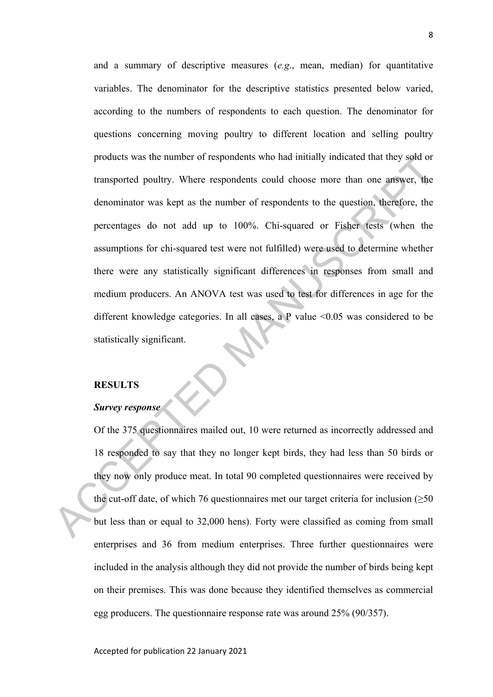and a summary of descriptive measures (*e.g*., mean, median) for quantitative variables. The denominator for the descriptive statistics presented below varied, according to the numbers of respondents to each question. The denominator for questions concerning moving poultry to different location and selling poultry products was the number of respondents who had initially indicated that they sold or transported poultry. Where respondents could choose more than one answer, the denominator was kept as the number of respondents to the question, therefore, the percentages do not add up to 100%. Chi-squared or Fisher tests (when the assumptions for chi-squared test were not fulfilled) were used to determine whether there were any statistically significant differences in responses from small and medium producers. An ANOVA test was used to test for differences in age for the different knowledge categories. In all cases, a P value <0.05 was considered to be statistically significant. products was the number of respondents who had mittally indicated that they sold or<br>transported poultry. Where respondents could choose more than one answer, the<br>denominator was kept as the number of respondents to the qu

# **RESULTS**

## *Survey response*

Of the 375 questionnaires mailed out, 10 were returned as incorrectly addressed and 18 responded to say that they no longer kept birds, they had less than 50 birds or they now only produce meat. In total 90 completed questionnaires were received by the cut-off date, of which 76 questionnaires met our target criteria for inclusion  $(\geq 50$ but less than or equal to 32,000 hens). Forty were classified as coming from small enterprises and 36 from medium enterprises. Three further questionnaires were included in the analysis although they did not provide the number of birds being kept on their premises. This was done because they identified themselves as commercial egg producers. The questionnaire response rate was around 25% (90/357).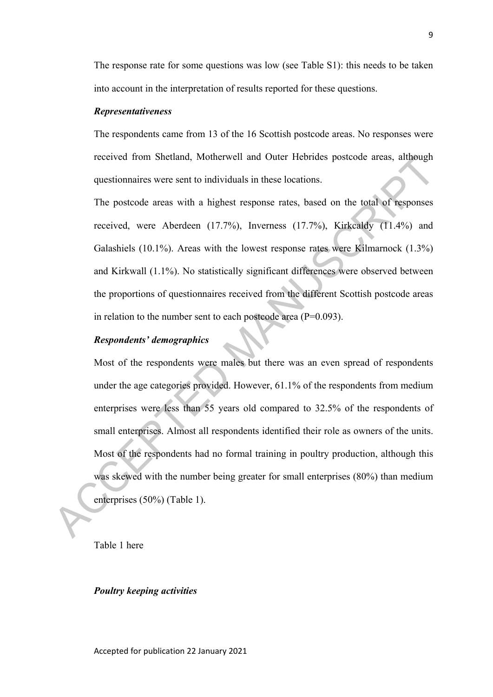The response rate for some questions was low (see Table S1): this needs to be taken into account in the interpretation of results reported for these questions.

#### *Representativeness*

The respondents came from 13 of the 16 Scottish postcode areas. No responses were received from Shetland, Motherwell and Outer Hebrides postcode areas, although questionnaires were sent to individuals in these locations.

The postcode areas with a highest response rates, based on the total of responses received, were Aberdeen (17.7%), Inverness (17.7%), Kirkcaldy (11.4%) and Galashiels (10.1%). Areas with the lowest response rates were Kilmarnock (1.3%) and Kirkwall (1.1%). No statistically significant differences were observed between the proportions of questionnaires received from the different Scottish postcode areas in relation to the number sent to each postcode area (P=0.093).

# *Respondents' demographics*

Most of the respondents were males but there was an even spread of respondents under the age categories provided. However, 61.1% of the respondents from medium enterprises were less than 55 years old compared to 32.5% of the respondents of small enterprises. Almost all respondents identified their role as owners of the units. Most of the respondents had no formal training in poultry production, although this was skewed with the number being greater for small enterprises (80%) than medium enterprises (50%) (Table 1). received from Shelland, Motherwell and Outer Hebrides posteode areas, although<br>questionnaires were sent to individuals in these locations.<br>The postcode areas with a highest response rates, based on the total of responses<br>

Table 1 here

#### *Poultry keeping activities*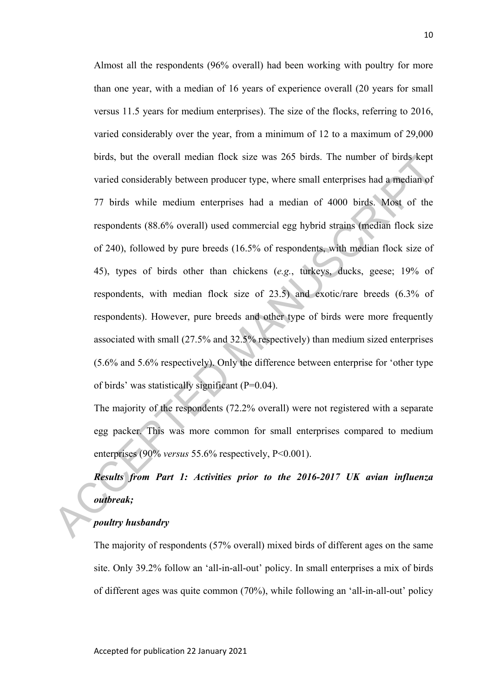Almost all the respondents (96% overall) had been working with poultry for more than one year, with a median of 16 years of experience overall (20 years for small versus 11.5 years for medium enterprises). The size of the flocks, referring to 2016, varied considerably over the year, from a minimum of 12 to a maximum of 29,000 birds, but the overall median flock size was 265 birds. The number of birds kept varied considerably between producer type, where small enterprises had a median of 77 birds while medium enterprises had a median of 4000 birds. Most of the respondents (88.6% overall) used commercial egg hybrid strains (median flock size of 240), followed by pure breeds (16.5% of respondents, with median flock size of 45), types of birds other than chickens (*e.g.*, turkeys, ducks, geese; 19% of respondents, with median flock size of 23.5) and exotic/rare breeds (6.3% of respondents). However, pure breeds and other type of birds were more frequently associated with small (27.5% and 32.5% respectively) than medium sized enterprises (5.6% and 5.6% respectively). Only the difference between enterprise for 'other type of birds' was statistically significant (P=0.04). burds, but the overall median flock size was 265 birds. The number of birds kept<br>varied considerably between producer type, where small enterprises had a median of<br>77 birds while medium enterprises had a median of 4000 bi

The majority of the respondents (72.2% overall) were not registered with a separate egg packer. This was more common for small enterprises compared to medium enterprises (90% *versus* 55.6% respectively, P<0.001).

# *Results from Part 1: Activities prior to the 2016-2017 UK avian influenza outbreak;*

# *poultry husbandry*

The majority of respondents (57% overall) mixed birds of different ages on the same site. Only 39.2% follow an 'all-in-all-out' policy. In small enterprises a mix of birds of different ages was quite common (70%), while following an 'all-in-all-out' policy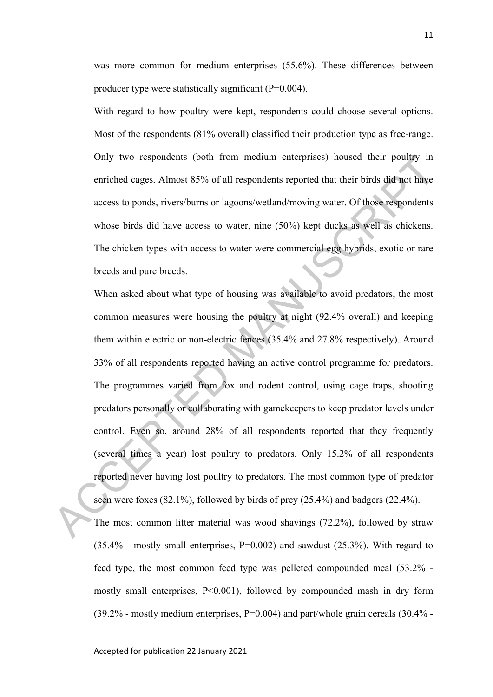was more common for medium enterprises (55.6%). These differences between producer type were statistically significant (P=0.004).

With regard to how poultry were kept, respondents could choose several options. Most of the respondents (81% overall) classified their production type as free-range. Only two respondents (both from medium enterprises) housed their poultry in enriched cages. Almost 85% of all respondents reported that their birds did not have access to ponds, rivers/burns or lagoons/wetland/moving water. Of those respondents whose birds did have access to water, nine (50%) kept ducks as well as chickens. The chicken types with access to water were commercial egg hybrids, exotic or rare breeds and pure breeds.

When asked about what type of housing was available to avoid predators, the most common measures were housing the poultry at night (92.4% overall) and keeping them within electric or non-electric fences (35.4% and 27.8% respectively). Around 33% of all respondents reported having an active control programme for predators. The programmes varied from fox and rodent control, using cage traps, shooting predators personally or collaborating with gamekeepers to keep predator levels under control. Even so, around 28% of all respondents reported that they frequently (several times a year) lost poultry to predators. Only 15.2% of all respondents reported never having lost poultry to predators. The most common type of predator seen were foxes (82.1%), followed by birds of prey (25.4%) and badgers (22.4%). Only two respondents (both from medium enterprises) housed their poultry in<br>enriched cages. Almost 85% of all respondents reported that their birds did not have<br>access to ponds, rivers/burns or lagoons/wetland/moving water

The most common litter material was wood shavings (72.2%), followed by straw  $(35.4\%$  - mostly small enterprises, P=0.002) and sawdust  $(25.3\%)$ . With regard to feed type, the most common feed type was pelleted compounded meal (53.2% mostly small enterprises, P<0.001), followed by compounded mash in dry form  $(39.2\%$  - mostly medium enterprises, P=0.004) and part/whole grain cereals  $(30.4\%$  -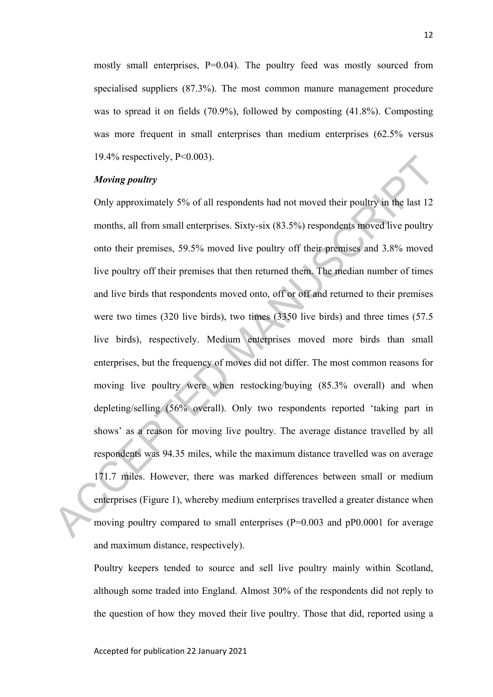mostly small enterprises, P=0.04). The poultry feed was mostly sourced from specialised suppliers (87.3%). The most common manure management procedure was to spread it on fields (70.9%), followed by composting (41.8%). Composting was more frequent in small enterprises than medium enterprises (62.5% versus 19.4% respectively, P<0.003).

# *Moving poultry*

Only approximately 5% of all respondents had not moved their poultry in the last 12 months, all from small enterprises. Sixty-six (83.5%) respondents moved live poultry onto their premises, 59.5% moved live poultry off their premises and 3.8% moved live poultry off their premises that then returned them. The median number of times and live birds that respondents moved onto, off or off and returned to their premises were two times (320 live birds), two times (3350 live birds) and three times (57.5 live birds), respectively. Medium enterprises moved more birds than small enterprises, but the frequency of moves did not differ. The most common reasons for moving live poultry were when restocking/buying (85.3% overall) and when depleting/selling (56% overall). Only two respondents reported 'taking part in shows' as a reason for moving live poultry. The average distance travelled by all respondents was 94.35 miles, while the maximum distance travelled was on average 171.7 miles. However, there was marked differences between small or medium enterprises (Figure 1), whereby medium enterprises travelled a greater distance when moving poultry compared to small enterprises (P=0.003 and pP0.0001 for average and maximum distance, respectively). 19.4% respectively, P<0.003).<br>
Moving poultry<br>
Only approximately 5% of all respondents had not moved their poultry in the last 12<br>
months, all from small enterprises. Sixty-six (83.5%) respondents moved live poultry<br>
ont

> Poultry keepers tended to source and sell live poultry mainly within Scotland, although some traded into England. Almost 30% of the respondents did not reply to the question of how they moved their live poultry. Those that did, reported using a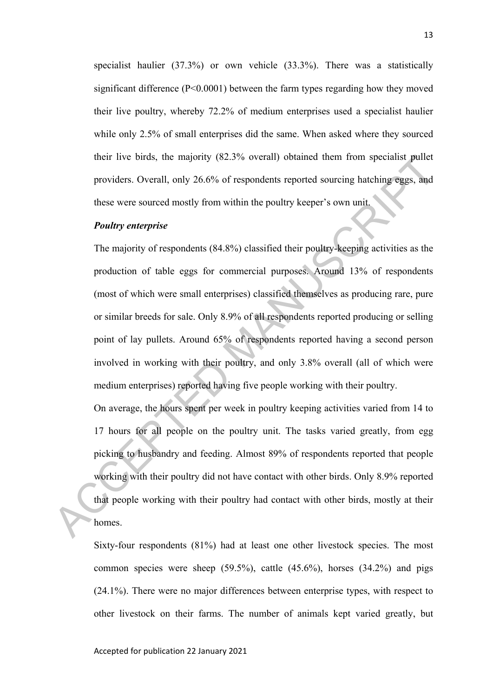specialist haulier (37.3%) or own vehicle (33.3%). There was a statistically significant difference (P<0.0001) between the farm types regarding how they moved their live poultry, whereby 72.2% of medium enterprises used a specialist haulier while only 2.5% of small enterprises did the same. When asked where they sourced their live birds, the majority (82.3% overall) obtained them from specialist pullet providers. Overall, only 26.6% of respondents reported sourcing hatching eggs, and these were sourced mostly from within the poultry keeper's own unit.

#### *Poultry enterprise*

The majority of respondents (84.8%) classified their poultry-keeping activities as the production of table eggs for commercial purposes. Around 13% of respondents (most of which were small enterprises) classified themselves as producing rare, pure or similar breeds for sale. Only 8.9% of all respondents reported producing or selling point of lay pullets. Around 65% of respondents reported having a second person involved in working with their poultry, and only 3.8% overall (all of which were medium enterprises) reported having five people working with their poultry. their live birds, the majority (82.3% overall) obtained them from specialist pullet<br>providers. Overall, only 26.6% of respondents reported sourcing hatching eggs, and<br>these were sourced mostly from within the poultry keepe

On average, the hours spent per week in poultry keeping activities varied from 14 to 17 hours for all people on the poultry unit. The tasks varied greatly, from egg picking to husbandry and feeding. Almost 89% of respondents reported that people working with their poultry did not have contact with other birds. Only 8.9% reported that people working with their poultry had contact with other birds, mostly at their homes.

Sixty-four respondents (81%) had at least one other livestock species. The most common species were sheep  $(59.5\%)$ , cattle  $(45.6\%)$ , horses  $(34.2\%)$  and pigs (24.1%). There were no major differences between enterprise types, with respect to other livestock on their farms. The number of animals kept varied greatly, but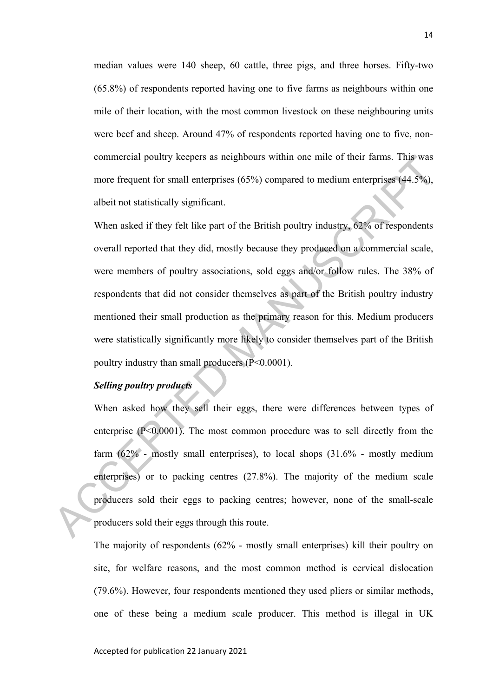median values were 140 sheep, 60 cattle, three pigs, and three horses. Fifty-two (65.8%) of respondents reported having one to five farms as neighbours within one mile of their location, with the most common livestock on these neighbouring units were beef and sheep. Around 47% of respondents reported having one to five, noncommercial poultry keepers as neighbours within one mile of their farms. This was more frequent for small enterprises (65%) compared to medium enterprises (44.5%), albeit not statistically significant.

When asked if they felt like part of the British poultry industry, 62% of respondents overall reported that they did, mostly because they produced on a commercial scale, were members of poultry associations, sold eggs and/or follow rules. The 38% of respondents that did not consider themselves as part of the British poultry industry mentioned their small production as the primary reason for this. Medium producers were statistically significantly more likely to consider themselves part of the British poultry industry than small producers (P<0.0001). commercial poultry keepers as neighbours within one mile of their larms. This was<br>more frequent for small enterprises (65%) compared to medium enterprises (44.5%),<br>albeit not statistically significant.<br>When asked if they

# *Selling poultry products*

When asked how they sell their eggs, there were differences between types of enterprise (P<0.0001). The most common procedure was to sell directly from the farm (62% - mostly small enterprises), to local shops (31.6% - mostly medium enterprises) or to packing centres (27.8%). The majority of the medium scale producers sold their eggs to packing centres; however, none of the small-scale producers sold their eggs through this route.

The majority of respondents (62% - mostly small enterprises) kill their poultry on site, for welfare reasons, and the most common method is cervical dislocation (79.6%). However, four respondents mentioned they used pliers or similar methods, one of these being a medium scale producer. This method is illegal in UK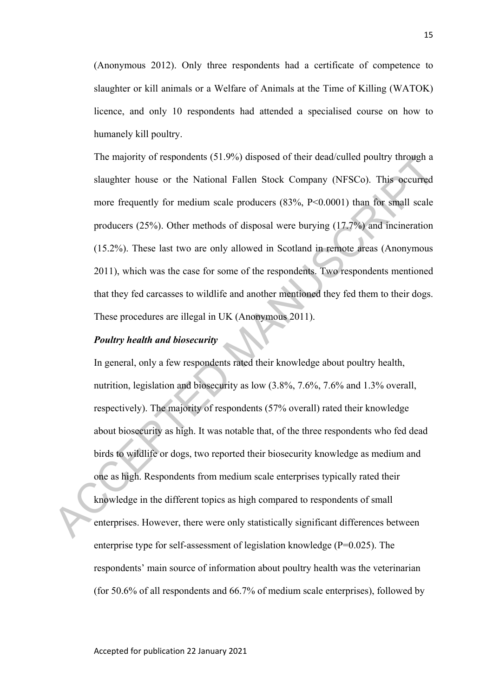(Anonymous 2012). Only three respondents had a certificate of competence to slaughter or kill animals or a Welfare of Animals at the Time of Killing (WATOK) licence, and only 10 respondents had attended a specialised course on how to humanely kill poultry.

The majority of respondents (51.9%) disposed of their dead/culled poultry through a slaughter house or the National Fallen Stock Company (NFSCo). This occurred more frequently for medium scale producers  $(83\%, P<0.0001)$  than for small scale producers (25%). Other methods of disposal were burying (17.7%) and incineration (15.2%). These last two are only allowed in Scotland in remote areas (Anonymous 2011), which was the case for some of the respondents. Two respondents mentioned that they fed carcasses to wildlife and another mentioned they fed them to their dogs. These procedures are illegal in UK (Anonymous 2011).

## *Poultry health and biosecurity*

In general, only a few respondents rated their knowledge about poultry health, nutrition, legislation and biosecurity as low (3.8%, 7.6%, 7.6% and 1.3% overall, respectively). The majority of respondents (57% overall) rated their knowledge about biosecurity as high. It was notable that, of the three respondents who fed dead birds to wildlife or dogs, two reported their biosecurity knowledge as medium and one as high. Respondents from medium scale enterprises typically rated their knowledge in the different topics as high compared to respondents of small enterprises. However, there were only statistically significant differences between enterprise type for self-assessment of legislation knowledge (P=0.025). The respondents' main source of information about poultry health was the veterinarian (for 50.6% of all respondents and 66.7% of medium scale enterprises), followed by The majority of respondents (51.9%) disposed of their deadcoulled poultry through a<br>slaughter house or the National Fallen Stock Company (NFSCo). This occurred<br>more frequently for medium scale producers (83%, P<0.0001) th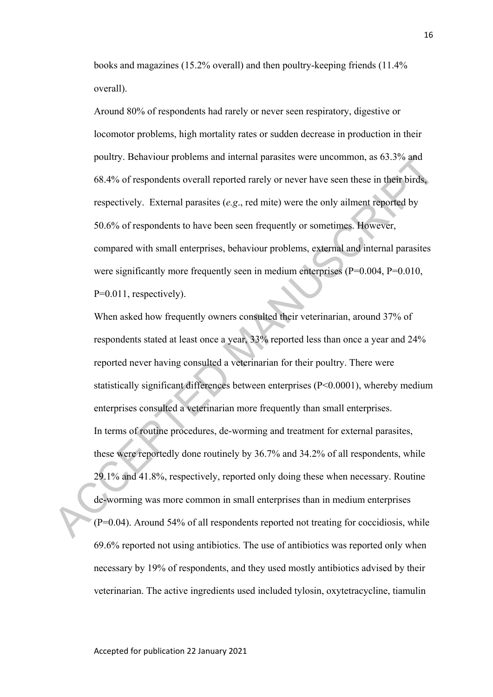books and magazines (15.2% overall) and then poultry-keeping friends (11.4% overall).

Around 80% of respondents had rarely or never seen respiratory, digestive or locomotor problems, high mortality rates or sudden decrease in production in their poultry. Behaviour problems and internal parasites were uncommon, as 63.3% and 68.4% of respondents overall reported rarely or never have seen these in their birds, respectively. External parasites (*e.g*., red mite) were the only ailment reported by 50.6% of respondents to have been seen frequently or sometimes. However, compared with small enterprises, behaviour problems, external and internal parasites were significantly more frequently seen in medium enterprises (P=0.004, P=0.010, P=0.011, respectively).

When asked how frequently owners consulted their veterinarian, around 37% of respondents stated at least once a year, 33% reported less than once a year and 24% reported never having consulted a veterinarian for their poultry. There were statistically significant differences between enterprises (P<0.0001), whereby medium enterprises consulted a veterinarian more frequently than small enterprises. In terms of routine procedures, de-worming and treatment for external parasites, these were reportedly done routinely by 36.7% and 34.2% of all respondents, while 29.1% and 41.8%, respectively, reported only doing these when necessary. Routine de-worming was more common in small enterprises than in medium enterprises (P=0.04). Around 54% of all respondents reported not treating for coccidiosis, while 69.6% reported not using antibiotics. The use of antibiotics was reported only when necessary by 19% of respondents, and they used mostly antibiotics advised by their veterinarian. The active ingredients used included tylosin, oxytetracycline, tiamulin poultry. Behaviour problems and internal parasites were uncommon, as 63.3% and<br>68.4% of respondents overall reported rarely or never have seen these in their birds,<br>respectively. External parasites (e.g., red mite) were th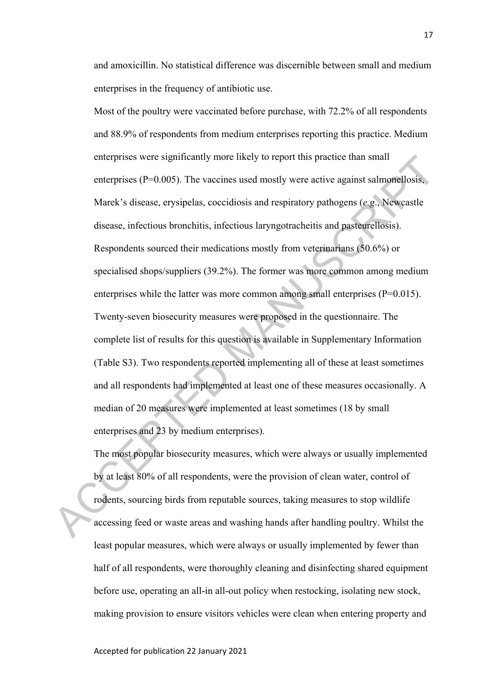and amoxicillin. No statistical difference was discernible between small and medium enterprises in the frequency of antibiotic use.

Most of the poultry were vaccinated before purchase, with 72.2% of all respondents and 88.9% of respondents from medium enterprises reporting this practice. Medium enterprises were significantly more likely to report this practice than small enterprises (P=0.005). The vaccines used mostly were active against salmonellosis, Marek's disease, erysipelas, coccidiosis and respiratory pathogens (*e.g*., Newcastle disease, infectious bronchitis, infectious laryngotracheitis and pasteurellosis). Respondents sourced their medications mostly from veterinarians (50.6%) or specialised shops/suppliers (39.2%). The former was more common among medium enterprises while the latter was more common among small enterprises (P=0.015). Twenty-seven biosecurity measures were proposed in the questionnaire. The complete list of results for this question is available in Supplementary Information (Table S3). Two respondents reported implementing all of these at least sometimes and all respondents had implemented at least one of these measures occasionally. A median of 20 measures were implemented at least sometimes (18 by small enterprises and 23 by medium enterprises). enterprises were significantly more likely to report this practice than small<br>enterprises (P=0.005). The vaccines used mostly were active against salmonellosis,<br>Marek's disease, erysipelas, coccidiosis and respiratory pat

The most popular biosecurity measures, which were always or usually implemented by at least 80% of all respondents, were the provision of clean water, control of rodents, sourcing birds from reputable sources, taking measures to stop wildlife accessing feed or waste areas and washing hands after handling poultry. Whilst the least popular measures, which were always or usually implemented by fewer than half of all respondents, were thoroughly cleaning and disinfecting shared equipment before use, operating an all-in all-out policy when restocking, isolating new stock, making provision to ensure visitors vehicles were clean when entering property and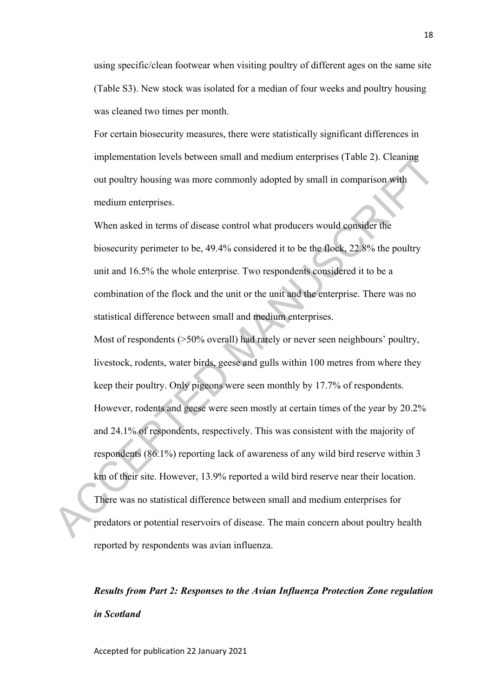using specific/clean footwear when visiting poultry of different ages on the same site (Table S3). New stock was isolated for a median of four weeks and poultry housing was cleaned two times per month.

For certain biosecurity measures, there were statistically significant differences in implementation levels between small and medium enterprises (Table 2). Cleaning out poultry housing was more commonly adopted by small in comparison with medium enterprises.

When asked in terms of disease control what producers would consider the biosecurity perimeter to be, 49.4% considered it to be the flock, 22.8% the poultry unit and 16.5% the whole enterprise. Two respondents considered it to be a combination of the flock and the unit or the unit and the enterprise. There was no statistical difference between small and medium enterprises. Most of respondents ( $>50\%$  overall) had rarely or never seen neighbours' poultry, livestock, rodents, water birds, geese and gulls within 100 metres from where they implementation levels between small and medium enterprises (1able 2). Cleaning<br>out poultry housing was more commonly adopted by small in comparison with<br>medium enterprises.<br>When asked in terms of disease control what produ

keep their poultry. Only pigeons were seen monthly by 17.7% of respondents. However, rodents and geese were seen mostly at certain times of the year by 20.2% and 24.1% of respondents, respectively. This was consistent with the majority of respondents (86.1%) reporting lack of awareness of any wild bird reserve within 3 km of their site. However, 13.9% reported a wild bird reserve near their location. There was no statistical difference between small and medium enterprises for predators or potential reservoirs of disease. The main concern about poultry health reported by respondents was avian influenza.

# *Results from Part 2: Responses to the Avian Influenza Protection Zone regulation in Scotland*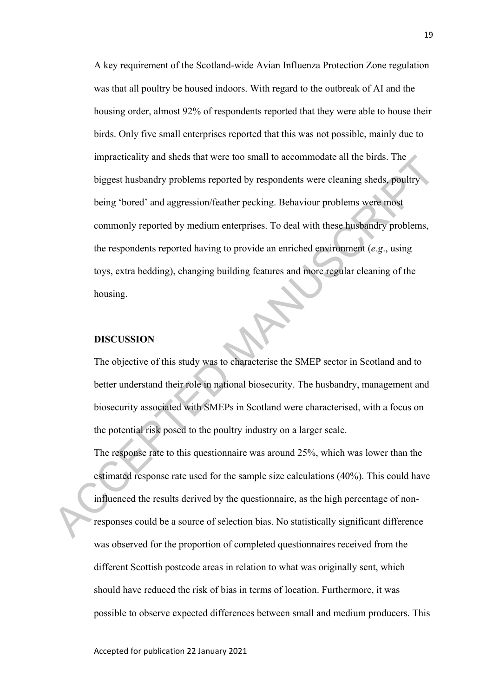A key requirement of the Scotland-wide Avian Influenza Protection Zone regulation was that all poultry be housed indoors. With regard to the outbreak of AI and the housing order, almost 92% of respondents reported that they were able to house their birds. Only five small enterprises reported that this was not possible, mainly due to impracticality and sheds that were too small to accommodate all the birds. The biggest husbandry problems reported by respondents were cleaning sheds, poultry being 'bored' and aggression/feather pecking. Behaviour problems were most commonly reported by medium enterprises. To deal with these husbandry problems, the respondents reported having to provide an enriched environment (*e.g*., using toys, extra bedding), changing building features and more regular cleaning of the housing. Impracticality and shots that were too small to accommodate all the birds. The<br>biggest husbandry problems reported by respondents were cleaning sheds, poultry<br>being 'bored' and aggression/feather pecking. Behaviour problem

#### **DISCUSSION**

The objective of this study was to characterise the SMEP sector in Scotland and to better understand their role in national biosecurity. The husbandry, management and biosecurity associated with SMEPs in Scotland were characterised, with a focus on the potential risk posed to the poultry industry on a larger scale.

The response rate to this questionnaire was around 25%, which was lower than the estimated response rate used for the sample size calculations (40%). This could have influenced the results derived by the questionnaire, as the high percentage of nonresponses could be a source of selection bias. No statistically significant difference was observed for the proportion of completed questionnaires received from the different Scottish postcode areas in relation to what was originally sent, which should have reduced the risk of bias in terms of location. Furthermore, it was possible to observe expected differences between small and medium producers. This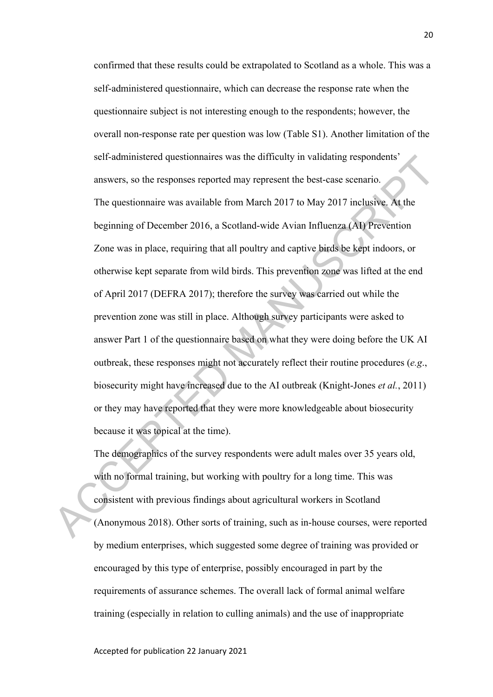confirmed that these results could be extrapolated to Scotland as a whole. This was a self-administered questionnaire, which can decrease the response rate when the questionnaire subject is not interesting enough to the respondents; however, the overall non-response rate per question was low (Table S1). Another limitation of the self-administered questionnaires was the difficulty in validating respondents' answers, so the responses reported may represent the best-case scenario. The questionnaire was available from March 2017 to May 2017 inclusive. At the beginning of December 2016, a Scotland-wide Avian Influenza (AI) Prevention Zone was in place, requiring that all poultry and captive birds be kept indoors, or otherwise kept separate from wild birds. This prevention zone was lifted at the end of April 2017 (DEFRA 2017); therefore the survey was carried out while the prevention zone was still in place. Although survey participants were asked to answer Part 1 of the questionnaire based on what they were doing before the UK AI outbreak, these responses might not accurately reflect their routine procedures (*e.g*., biosecurity might have increased due to the AI outbreak (Knight-Jones *et al.*, 2011) or they may have reported that they were more knowledgeable about biosecurity because it was topical at the time). scil-administract questionnaires was the difficulty in validating respondents<br>answers, so the responses reported may represent the best-case scenario.<br>The questionnaire was available from March 2017 to May 2017 inclusive.

The demographics of the survey respondents were adult males over 35 years old, with no formal training, but working with poultry for a long time. This was consistent with previous findings about agricultural workers in Scotland (Anonymous 2018). Other sorts of training, such as in-house courses, were reported by medium enterprises, which suggested some degree of training was provided or encouraged by this type of enterprise, possibly encouraged in part by the requirements of assurance schemes. The overall lack of formal animal welfare training (especially in relation to culling animals) and the use of inappropriate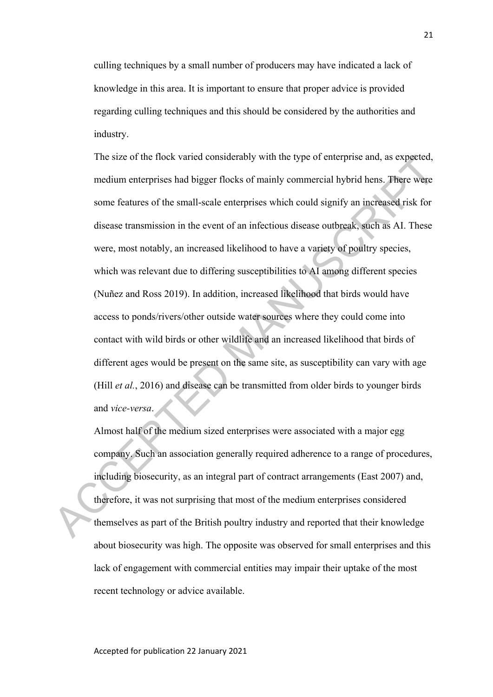culling techniques by a small number of producers may have indicated a lack of knowledge in this area. It is important to ensure that proper advice is provided regarding culling techniques and this should be considered by the authorities and industry.

The size of the flock varied considerably with the type of enterprise and, as expected, medium enterprises had bigger flocks of mainly commercial hybrid hens. There were some features of the small-scale enterprises which could signify an increased risk for disease transmission in the event of an infectious disease outbreak, such as AI. These were, most notably, an increased likelihood to have a variety of poultry species, which was relevant due to differing susceptibilities to AI among different species (Nuñez and Ross 2019). In addition, increased likelihood that birds would have access to ponds/rivers/other outside water sources where they could come into contact with wild birds or other wildlife and an increased likelihood that birds of different ages would be present on the same site, as susceptibility can vary with age (Hill *et al.*, 2016) and disease can be transmitted from older birds to younger birds and *vice-versa*. The size of the flock vanced eonsderably with the type of enterprise and, as expected,<br>
medium enterprises had bigger flocks of mainly commercial hybrid hens. There were<br>
some features of the small-scale enterprises which

Almost half of the medium sized enterprises were associated with a major egg company. Such an association generally required adherence to a range of procedures, including biosecurity, as an integral part of contract arrangements (East 2007) and, therefore, it was not surprising that most of the medium enterprises considered themselves as part of the British poultry industry and reported that their knowledge about biosecurity was high. The opposite was observed for small enterprises and this lack of engagement with commercial entities may impair their uptake of the most recent technology or advice available.

Accepted for publication 22 January 2021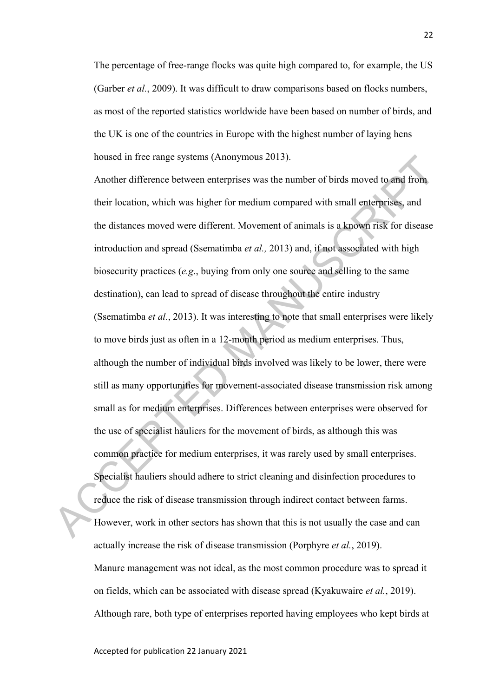The percentage of free-range flocks was quite high compared to, for example, the US (Garber *et al.*, 2009). It was difficult to draw comparisons based on flocks numbers, as most of the reported statistics worldwide have been based on number of birds, and the UK is one of the countries in Europe with the highest number of laying hens housed in free range systems (Anonymous 2013).

Another difference between enterprises was the number of birds moved to and from their location, which was higher for medium compared with small enterprises, and the distances moved were different. Movement of animals is a known risk for disease introduction and spread (Ssematimba *et al.,* 2013) and, if not associated with high biosecurity practices (*e.g*., buying from only one source and selling to the same destination), can lead to spread of disease throughout the entire industry (Ssematimba *et al.*, 2013). It was interesting to note that small enterprises were likely to move birds just as often in a 12-month period as medium enterprises. Thus, although the number of individual birds involved was likely to be lower, there were still as many opportunities for movement-associated disease transmission risk among small as for medium enterprises. Differences between enterprises were observed for the use of specialist hauliers for the movement of birds, as although this was common practice for medium enterprises, it was rarely used by small enterprises. Specialist hauliers should adhere to strict cleaning and disinfection procedures to reduce the risk of disease transmission through indirect contact between farms. However, work in other sectors has shown that this is not usually the case and can actually increase the risk of disease transmission (Porphyre *et al.*, 2019). Manure management was not ideal, as the most common procedure was to spread it on fields, which can be associated with disease spread (Kyakuwaire *et al.*, 2019). Although rare, both type of enterprises reported having employees who kept birds at housed in Ircc range systems (Anonymous 2013).<br>
Another difference between enterprises was the number of birds moved to and from<br>
their location, which was higher for medium compared with small enterprises, and<br>
the distan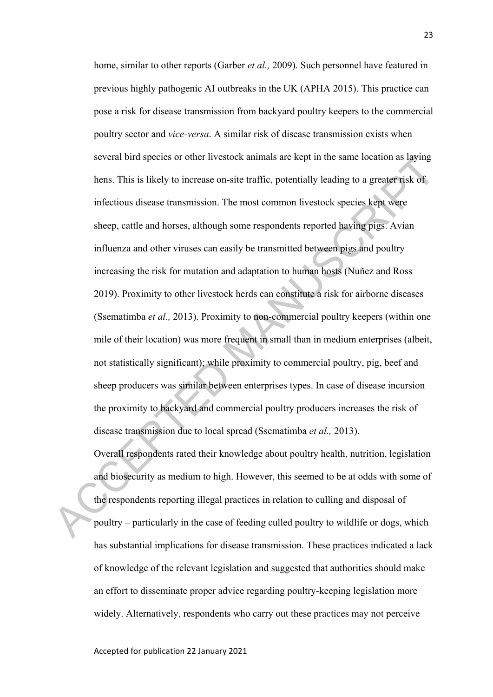home, similar to other reports (Garber *et al.,* 2009). Such personnel have featured in previous highly pathogenic AI outbreaks in the UK (APHA 2015). This practice can pose a risk for disease transmission from backyard poultry keepers to the commercial poultry sector and *vice-versa*. A similar risk of disease transmission exists when several bird species or other livestock animals are kept in the same location as laying hens. This is likely to increase on-site traffic, potentially leading to a greater risk of infectious disease transmission. The most common livestock species kept were sheep, cattle and horses, although some respondents reported having pigs. Avian influenza and other viruses can easily be transmitted between pigs and poultry increasing the risk for mutation and adaptation to human hosts (Nuñez and Ross 2019). Proximity to other livestock herds can constitute a risk for airborne diseases (Ssematimba *et al.,* 2013). Proximity to non-commercial poultry keepers (within one mile of their location) was more frequent in small than in medium enterprises (albeit, not statistically significant); while proximity to commercial poultry, pig, beef and sheep producers was similar between enterprises types. In case of disease incursion the proximity to backyard and commercial poultry producers increases the risk of disease transmission due to local spread (Ssematimba *et al.,* 2013). several bird species or other livestock animals are kept in the same location as laying<br>hens. This is likely to increase on-site traffic, potentially leading to a greater risk of<br>infectious disease transmission. The most

Overall respondents rated their knowledge about poultry health, nutrition, legislation and biosecurity as medium to high. However, this seemed to be at odds with some of the respondents reporting illegal practices in relation to culling and disposal of poultry – particularly in the case of feeding culled poultry to wildlife or dogs, which has substantial implications for disease transmission. These practices indicated a lack of knowledge of the relevant legislation and suggested that authorities should make an effort to disseminate proper advice regarding poultry-keeping legislation more widely. Alternatively, respondents who carry out these practices may not perceive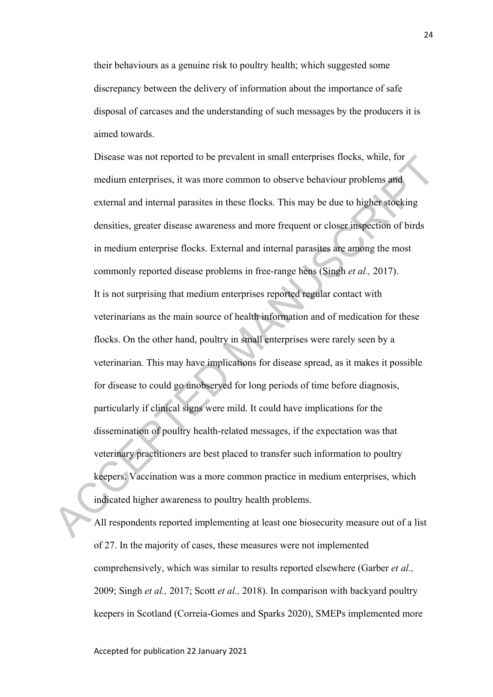their behaviours as a genuine risk to poultry health; which suggested some discrepancy between the delivery of information about the importance of safe disposal of carcases and the understanding of such messages by the producers it is aimed towards.

Disease was not reported to be prevalent in small enterprises flocks, while, for medium enterprises, it was more common to observe behaviour problems and external and internal parasites in these flocks. This may be due to higher stocking densities, greater disease awareness and more frequent or closer inspection of birds in medium enterprise flocks. External and internal parasites are among the most commonly reported disease problems in free-range hens (Singh *et al.,* 2017). It is not surprising that medium enterprises reported regular contact with veterinarians as the main source of health information and of medication for these flocks. On the other hand, poultry in small enterprises were rarely seen by a veterinarian. This may have implications for disease spread, as it makes it possible for disease to could go unobserved for long periods of time before diagnosis, particularly if clinical signs were mild. It could have implications for the dissemination of poultry health-related messages, if the expectation was that veterinary practitioners are best placed to transfer such information to poultry keepers. Vaccination was a more common practice in medium enterprises, which indicated higher awareness to poultry health problems. Discuse was not reported to be prevalent in small enterprises flocks, while, for<br>medium enterprises, it was more common to observe behaviour problems and<br>external and internal parasites in these flocks. This may be due to

All respondents reported implementing at least one biosecurity measure out of a list of 27. In the majority of cases, these measures were not implemented comprehensively, which was similar to results reported elsewhere (Garber *et al.,*  2009; Singh *et al.,* 2017; Scott *et al.,* 2018). In comparison with backyard poultry keepers in Scotland (Correia-Gomes and Sparks 2020), SMEPs implemented more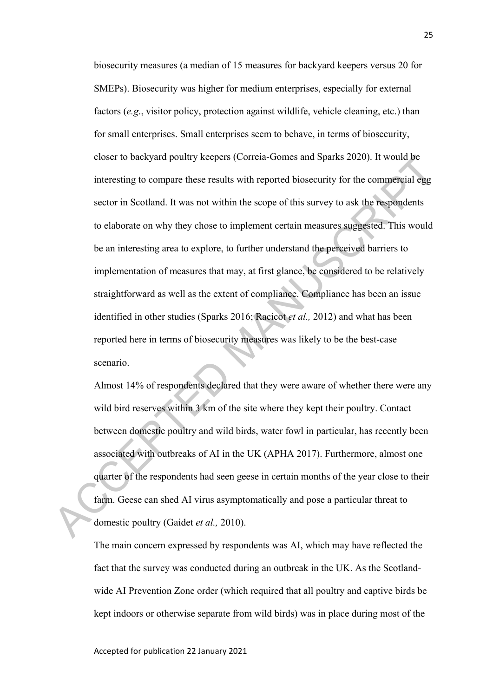biosecurity measures (a median of 15 measures for backyard keepers versus 20 for SMEPs). Biosecurity was higher for medium enterprises, especially for external factors (*e.g*., visitor policy, protection against wildlife, vehicle cleaning, etc.) than for small enterprises. Small enterprises seem to behave, in terms of biosecurity, closer to backyard poultry keepers (Correia-Gomes and Sparks 2020). It would be interesting to compare these results with reported biosecurity for the commercial egg sector in Scotland. It was not within the scope of this survey to ask the respondents to elaborate on why they chose to implement certain measures suggested. This would be an interesting area to explore, to further understand the perceived barriers to implementation of measures that may, at first glance, be considered to be relatively straightforward as well as the extent of compliance. Compliance has been an issue identified in other studies (Sparks 2016; Racicot *et al.,* 2012) and what has been reported here in terms of biosecurity measures was likely to be the best-case scenario. closer to backyard poultry keepers (Correua-Gomes and Sparks 2020). It would be<br>interesting to compare these results with reported biosecurity for the comperical egg<br>sector in Scotland. It was not within the scope of this

Almost 14% of respondents declared that they were aware of whether there were any wild bird reserves within 3 km of the site where they kept their poultry. Contact between domestic poultry and wild birds, water fowl in particular, has recently been associated with outbreaks of AI in the UK (APHA 2017). Furthermore, almost one quarter of the respondents had seen geese in certain months of the year close to their farm. Geese can shed AI virus asymptomatically and pose a particular threat to domestic poultry (Gaidet *et al.,* 2010).

The main concern expressed by respondents was AI, which may have reflected the fact that the survey was conducted during an outbreak in the UK. As the Scotlandwide AI Prevention Zone order (which required that all poultry and captive birds be kept indoors or otherwise separate from wild birds) was in place during most of the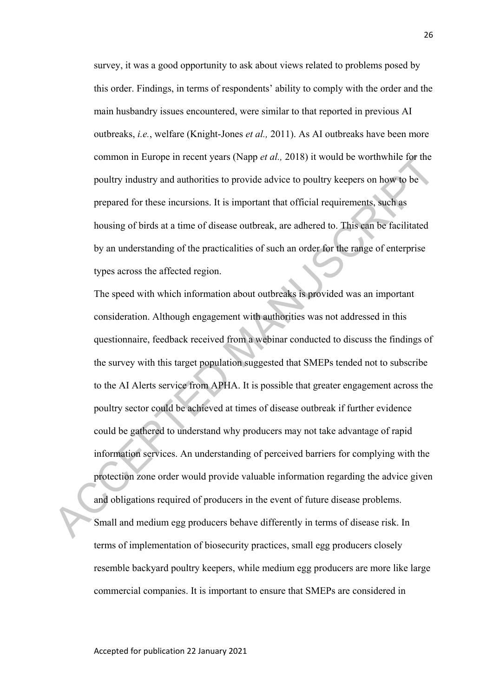survey, it was a good opportunity to ask about views related to problems posed by this order. Findings, in terms of respondents' ability to comply with the order and the main husbandry issues encountered, were similar to that reported in previous AI outbreaks, *i.e.*, welfare (Knight-Jones *et al.,* 2011). As AI outbreaks have been more common in Europe in recent years (Napp *et al.,* 2018) it would be worthwhile for the poultry industry and authorities to provide advice to poultry keepers on how to be prepared for these incursions. It is important that official requirements, such as housing of birds at a time of disease outbreak, are adhered to. This can be facilitated by an understanding of the practicalities of such an order for the range of enterprise types across the affected region.

The speed with which information about outbreaks is provided was an important consideration. Although engagement with authorities was not addressed in this questionnaire, feedback received from a webinar conducted to discuss the findings of the survey with this target population suggested that SMEPs tended not to subscribe to the AI Alerts service from APHA. It is possible that greater engagement across the poultry sector could be achieved at times of disease outbreak if further evidence could be gathered to understand why producers may not take advantage of rapid information services. An understanding of perceived barriers for complying with the protection zone order would provide valuable information regarding the advice given and obligations required of producers in the event of future disease problems. Small and medium egg producers behave differently in terms of disease risk. In terms of implementation of biosecurity practices, small egg producers closely resemble backyard poultry keepers, while medium egg producers are more like large commercial companies. It is important to ensure that SMEPs are considered in common in Europe in recent years (Napp et at., 2018) it would be worthwhile tor the<br>poultry industry and authorities to provide advice to poultry keepers on how to be<br>prepared for these incursions. It is important that off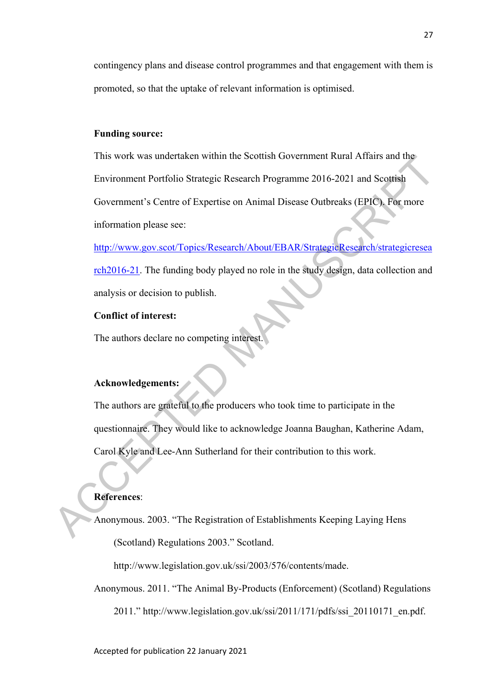contingency plans and disease control programmes and that engagement with them is promoted, so that the uptake of relevant information is optimised.

#### **Funding source:**

This work was undertaken within the Scottish Government Rural Affairs and the Environment Portfolio Strategic Research Programme 2016-2021 and Scottish Government's Centre of Expertise on Animal Disease Outbreaks (EPIC). For more information please see: This work was undertaken within the scottish Government Kural Atlairs and the<br>
Environment Portfolio Strategic Research Programme 2016-2021 and Scottish<br>
Government's Centre of Expertise on Animal Disease Outbreaks (EPIC).

http://www.gov.scot/Topics/Research/About/EBAR/StrategicResearch/strategicresea rch2016-21. The funding body played no role in the study design, data collection and analysis or decision to publish.

#### **Conflict of interest:**

The authors declare no competing interest.

# **Acknowledgements:**

The authors are grateful to the producers who took time to participate in the questionnaire. They would like to acknowledge Joanna Baughan, Katherine Adam, Carol Kyle and Lee-Ann Sutherland for their contribution to this work.

# **References**:

Anonymous. 2003. "The Registration of Establishments Keeping Laying Hens (Scotland) Regulations 2003." Scotland.

http://www.legislation.gov.uk/ssi/2003/576/contents/made.

Anonymous. 2011. "The Animal By-Products (Enforcement) (Scotland) Regulations 2011." http://www.legislation.gov.uk/ssi/2011/171/pdfs/ssi\_20110171\_en.pdf.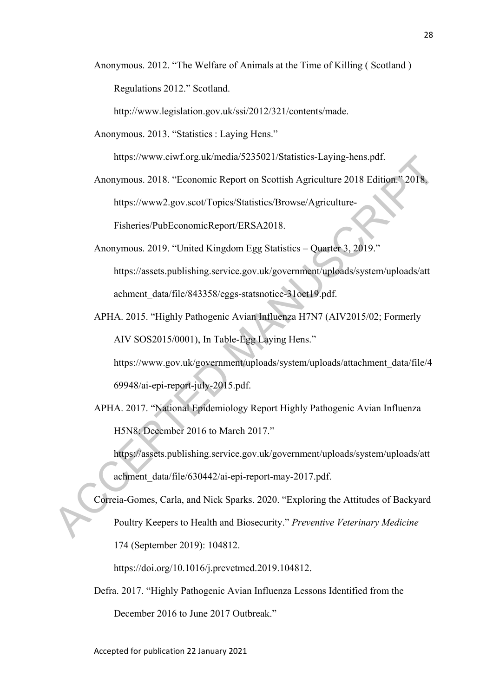Anonymous. 2012. "The Welfare of Animals at the Time of Killing ( Scotland ) Regulations 2012." Scotland.

http://www.legislation.gov.uk/ssi/2012/321/contents/made.

Anonymous. 2013. "Statistics : Laying Hens."

https://www.ciwf.org.uk/media/5235021/Statistics-Laying-hens.pdf.

- Anonymous. 2018. "Economic Report on Scottish Agriculture 2018 Edition." 2018. https://www2.gov.scot/Topics/Statistics/Browse/Agriculture-Fisheries/PubEconomicReport/ERSA2018.
- Anonymous. 2019. "United Kingdom Egg Statistics Quarter 3, 2019." https://assets.publishing.service.gov.uk/government/uploads/system/uploads/att achment\_data/file/843358/eggs-statsnotice-31oct19.pdf. https://www.cuvt.org.uk/mcdia/5235021/Statistics-Laying-hens.pdf.<br>Anonymous. 2018. "Economic Report on Scottish Agriculture-<br>Inters.//www2.gov.scot/Topics/Statistics/Browse/Agriculture-<br>Fisheries/PubEconomic Report/ERSA201
	- APHA. 2015. "Highly Pathogenic Avian Influenza H7N7 (AIV2015/02; Formerly AIV SOS2015/0001), In Table-Egg Laying Hens."

https://www.gov.uk/government/uploads/system/uploads/attachment\_data/file/4 69948/ai-epi-report-july-2015.pdf.

APHA. 2017. "National Epidemiology Report Highly Pathogenic Avian Influenza H5N8: December 2016 to March 2017."

https://assets.publishing.service.gov.uk/government/uploads/system/uploads/att achment\_data/file/630442/ai-epi-report-may-2017.pdf.

Correia-Gomes, Carla, and Nick Sparks. 2020. "Exploring the Attitudes of Backyard Poultry Keepers to Health and Biosecurity." *Preventive Veterinary Medicine* 174 (September 2019): 104812.

https://doi.org/10.1016/j.prevetmed.2019.104812.

Defra. 2017. "Highly Pathogenic Avian Influenza Lessons Identified from the December 2016 to June 2017 Outbreak."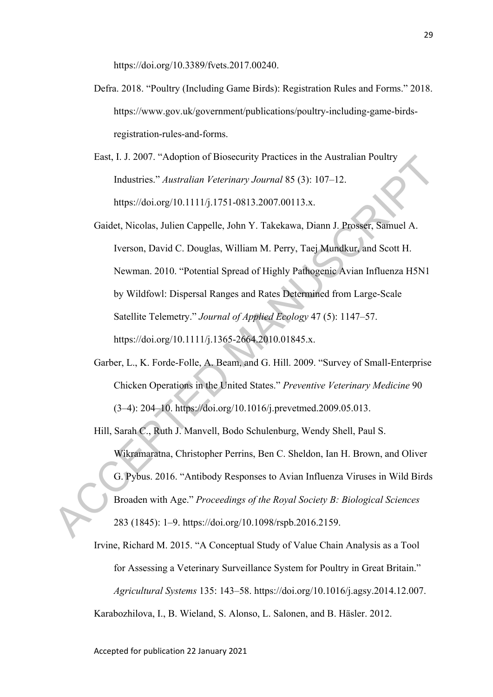https://doi.org/10.3389/fvets.2017.00240.

- Defra. 2018. "Poultry (Including Game Birds): Registration Rules and Forms." 2018. https://www.gov.uk/government/publications/poultry-including-game-birdsregistration-rules-and-forms.
- East, I. J. 2007. "Adoption of Biosecurity Practices in the Australian Poultry Industries." *Australian Veterinary Journal* 85 (3): 107–12. https://doi.org/10.1111/j.1751-0813.2007.00113.x.
- Gaidet, Nicolas, Julien Cappelle, John Y. Takekawa, Diann J. Prosser, Samuel A. Iverson, David C. Douglas, William M. Perry, Taej Mundkur, and Scott H. Newman. 2010. "Potential Spread of Highly Pathogenic Avian Influenza H5N1 by Wildfowl: Dispersal Ranges and Rates Determined from Large-Scale Satellite Telemetry." *Journal of Applied Ecology* 47 (5): 1147–57. https://doi.org/10.1111/j.1365-2664.2010.01845.x. East, 1. J. 2007. "Adopton of Biosceurity Practices in the Australian Poultry<br>
Industries." Australian Veterinary Journal 85 (3): 107–12.<br>
https://doi.org/10.1111/j.1751-0813.2007.00113.x.<br>
Gridet, Nicolas, Julien Cappelle
	- Garber, L., K. Forde-Folle, A. Beam, and G. Hill. 2009. "Survey of Small-Enterprise Chicken Operations in the United States." *Preventive Veterinary Medicine* 90 (3–4): 204–10. https://doi.org/10.1016/j.prevetmed.2009.05.013.
	- Hill, Sarah C., Ruth J. Manvell, Bodo Schulenburg, Wendy Shell, Paul S. Wikramaratna, Christopher Perrins, Ben C. Sheldon, Ian H. Brown, and Oliver G. Pybus. 2016. "Antibody Responses to Avian Influenza Viruses in Wild Birds Broaden with Age." *Proceedings of the Royal Society B: Biological Sciences* 283 (1845): 1–9. https://doi.org/10.1098/rspb.2016.2159.

Irvine, Richard M. 2015. "A Conceptual Study of Value Chain Analysis as a Tool for Assessing a Veterinary Surveillance System for Poultry in Great Britain." *Agricultural Systems* 135: 143–58. https://doi.org/10.1016/j.agsy.2014.12.007. Karabozhilova, I., B. Wieland, S. Alonso, L. Salonen, and B. Häsler. 2012.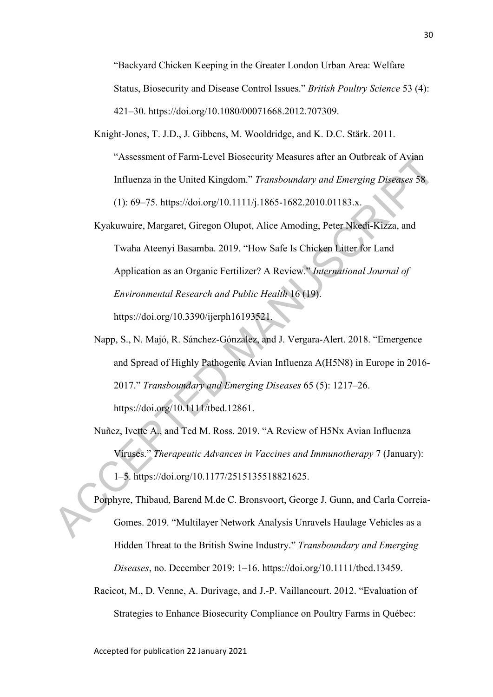"Backyard Chicken Keeping in the Greater London Urban Area: Welfare Status, Biosecurity and Disease Control Issues." *British Poultry Science* 53 (4): 421–30. https://doi.org/10.1080/00071668.2012.707309.

- Knight-Jones, T. J.D., J. Gibbens, M. Wooldridge, and K. D.C. Stärk. 2011. "Assessment of Farm-Level Biosecurity Measures after an Outbreak of Avian Influenza in the United Kingdom." *Transboundary and Emerging Diseases* 58 (1): 69–75. https://doi.org/10.1111/j.1865-1682.2010.01183.x.
- Kyakuwaire, Margaret, Giregon Olupot, Alice Amoding, Peter Nkedi-Kizza, and Twaha Ateenyi Basamba. 2019. "How Safe Is Chicken Litter for Land Application as an Organic Fertilizer? A Review." *International Journal of Environmental Research and Public Health* 16 (19). https://doi.org/10.3390/ijerph16193521. TASSESSIMICH DI Farm-Level Biosceurtly Measures after an Outbreak of Ayam<br>
Influenza in the United Kingdom." Transboundary and Emerging Diseases 58<br>
(1): 69–75. https://doi.org/10.11111/j.1865-1682.2010.01183.x.<br>
Kyakuwair
	- Napp, S., N. Majó, R. Sánchez-Gónzalez, and J. Vergara-Alert. 2018. "Emergence and Spread of Highly Pathogenic Avian Influenza A(H5N8) in Europe in 2016- 2017." *Transboundary and Emerging Diseases* 65 (5): 1217–26. https://doi.org/10.1111/tbed.12861.
	- Nuñez, Ivette A., and Ted M. Ross. 2019. "A Review of H5Nx Avian Influenza Viruses." *Therapeutic Advances in Vaccines and Immunotherapy* 7 (January): 1–5. https://doi.org/10.1177/2515135518821625.

Porphyre, Thibaud, Barend M.de C. Bronsvoort, George J. Gunn, and Carla Correia-Gomes. 2019. "Multilayer Network Analysis Unravels Haulage Vehicles as a Hidden Threat to the British Swine Industry." *Transboundary and Emerging Diseases*, no. December 2019: 1–16. https://doi.org/10.1111/tbed.13459.

Racicot, M., D. Venne, A. Durivage, and J.-P. Vaillancourt. 2012. "Evaluation of Strategies to Enhance Biosecurity Compliance on Poultry Farms in Québec: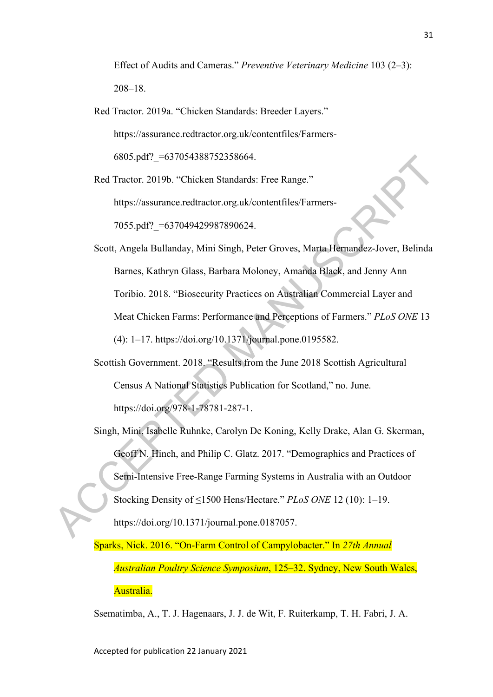Effect of Audits and Cameras." *Preventive Veterinary Medicine* 103 (2–3): 208–18.

Red Tractor. 2019a. "Chicken Standards: Breeder Layers." https://assurance.redtractor.org.uk/contentfiles/Farmers-6805.pdf?\_=637054388752358664.

Red Tractor. 2019b. "Chicken Standards: Free Range." https://assurance.redtractor.org.uk/contentfiles/Farmers-

7055.pdf? = 637049429987890624.

Scott, Angela Bullanday, Mini Singh, Peter Groves, Marta Hernandez-Jover, Belinda Barnes, Kathryn Glass, Barbara Moloney, Amanda Black, and Jenny Ann Toribio. 2018. "Biosecurity Practices on Australian Commercial Layer and Meat Chicken Farms: Performance and Perceptions of Farmers." *PLoS ONE* 13 (4): 1–17. https://doi.org/10.1371/journal.pone.0195582. 6805.pdf?\_=63/054388/52358664.<br>
Red Tractor. 2019b. "Chicken Standards: Free Range."<br>
https://assurance.redtractor.org.uk/contentfiles/Farmers-<br>
7055.pdf?\_=637049429987890624.<br>
Scott, Angela Bullanday, Mini Singh, Peter G

Scottish Government. 2018. "Results from the June 2018 Scottish Agricultural Census A National Statistics Publication for Scotland," no. June. https://doi.org/978-1-78781-287-1.

Singh, Mini, Isabelle Ruhnke, Carolyn De Koning, Kelly Drake, Alan G. Skerman, Geoff N. Hinch, and Philip C. Glatz. 2017. "Demographics and Practices of Semi-Intensive Free-Range Farming Systems in Australia with an Outdoor Stocking Density of ≤1500 Hens/Hectare." *PLoS ONE* 12 (10): 1–19. https://doi.org/10.1371/journal.pone.0187057.

Sparks, Nick. 2016. "On-Farm Control of Campylobacter." In *27th Annual Australian Poultry Science Symposium*, 125–32. Sydney, New South Wales, Australia.

Ssematimba, A., T. J. Hagenaars, J. J. de Wit, F. Ruiterkamp, T. H. Fabri, J. A.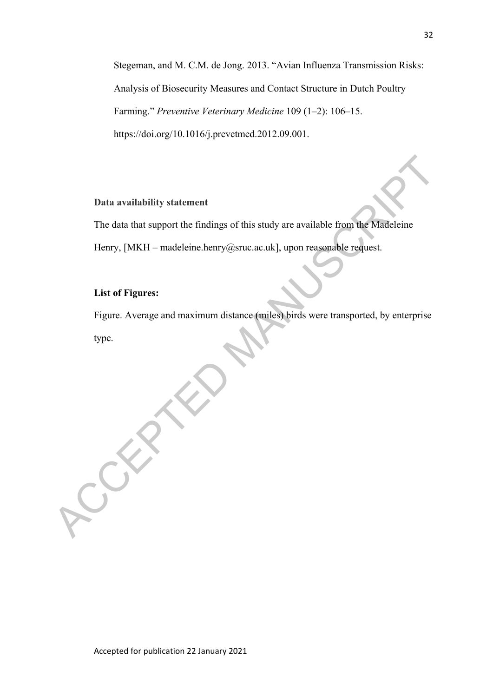Stegeman, and M. C.M. de Jong. 2013. "Avian Influenza Transmission Risks: Analysis of Biosecurity Measures and Contact Structure in Dutch Poultry Farming." *Preventive Veterinary Medicine* 109 (1–2): 106–15. https://doi.org/10.1016/j.prevetmed.2012.09.001.

#### **Data availability statement**

The data that support the findings of this study are available from the Madeleine Henry, [MKH – madeleine.henry@sruc.ac.uk], upon reasonable request.

#### **List of Figures:**

Figure. Average and maximum distance (miles) birds were transported, by enterprise type. Data availability statement<br>
The data that support the findings of this study are available from the Madeleine<br>
Henry, [MKH – madeleine.henry@sruc.ac.uk], upon reasonable regluest.<br>
List of Figures:<br>
Figure . Average and m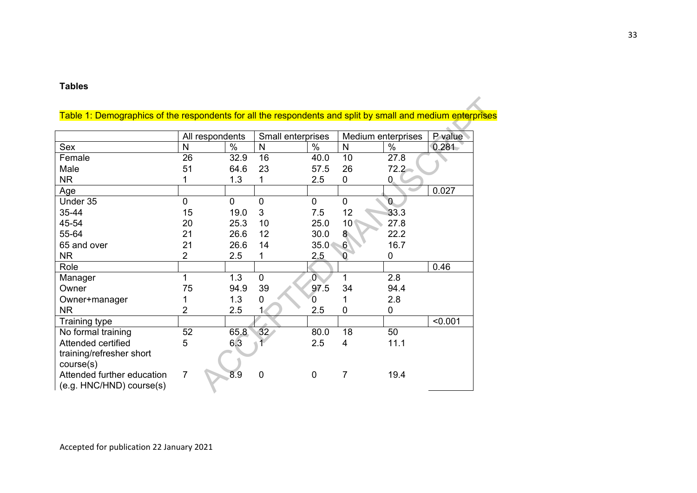#### **Tables**

|                                                             | All respondents |      |                 | Small enterprises | Medium enterprises | P value        |         |
|-------------------------------------------------------------|-----------------|------|-----------------|-------------------|--------------------|----------------|---------|
| Sex                                                         | N               | $\%$ | N               | $\%$              | $\mathsf{N}$       | $\%$           | 0.281   |
| Female                                                      | 26              | 32.9 | 16              | 40.0              | 10                 | 27.8           |         |
| Male                                                        | 51              | 64.6 | 23              | 57.5              | 26                 | 72.2           |         |
| <b>NR</b>                                                   |                 | 1.3  |                 | 2.5               | $\mathbf 0$        | $\mathbf{0}$   |         |
| Age                                                         |                 |      |                 |                   |                    |                | 0.027   |
| Under 35                                                    | 0               | 0    | 0               | $\mathbf 0$       | $\Omega$           | $\overline{0}$ |         |
| 35-44                                                       | 15              | 19.0 | 3               | 7.5               | 12                 | 33.3           |         |
| 45-54                                                       | 20              | 25.3 | 10              | 25.0              | 10 <sup>1</sup>    | 27.8           |         |
| 55-64                                                       | 21              | 26.6 | 12              | 30.0              | 8 <sup>°</sup>     | 22.2           |         |
| 65 and over                                                 | 21              | 26.6 | 14              | 35.0              | $6 \mid$           | 16.7           |         |
| <b>NR</b>                                                   | $\overline{2}$  | 2.5  | 1               | 2.5               | $\Omega$           | 0              |         |
| Role                                                        |                 |      |                 |                   |                    |                | 0.46    |
| Manager                                                     | 1               | 1.3  | $\mathbf{0}$    | $\overline{0}$    | 1                  | 2.8            |         |
| Owner                                                       | 75              | 94.9 | 39              | 97.5              | 34                 | 94.4           |         |
| Owner+manager                                               |                 | 1.3  | 0               | O.                |                    | 2.8            |         |
| <b>NR</b>                                                   | 2               | 2.5  |                 | 2.5               | $\overline{0}$     | 0              |         |
| Training type                                               |                 |      |                 |                   |                    |                | < 0.001 |
| No formal training                                          | 52              | 65.8 | 32 <sub>2</sub> | 80.0              | 18                 | 50             |         |
| Attended certified<br>training/refresher short<br>course(s) | 5               | 6.3  |                 | 2.5               | $\overline{4}$     | 11.1           |         |
| Attended further education<br>(e.g. HNC/HND) course(s)      | 7               | 8.9  | 0               | $\mathbf 0$       | $\overline{7}$     | 19.4           |         |

# Table 1: Demographics of the respondents for all the respondents and split by small and medium enterprises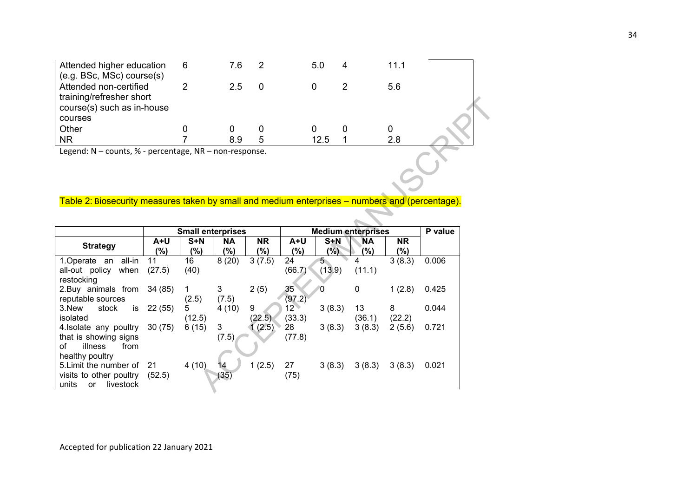| Attended higher education                              | 6 | 7.6 | 5.0  | 11.1 |  |
|--------------------------------------------------------|---|-----|------|------|--|
| (e.g. BSc, MSc) course(s)<br>Attended non-certified    |   | 25  |      | 5.6  |  |
| training/refresher short<br>course(s) such as in-house |   |     |      |      |  |
| courses                                                |   |     |      |      |  |
| Other                                                  |   |     |      |      |  |
| <b>NR</b>                                              |   | 8.9 | 12.5 | 2.8  |  |
| <b>Lagandi M</b><br>sauste O' parasptage ND            |   |     |      |      |  |

#### Table 2: Biosecurity measures taken by small and medium enterprises – numbers and (percentage).

| training/refresher short                                                                        |        |        |           |            |                 |                |             |                                                       |       |  |         |
|-------------------------------------------------------------------------------------------------|--------|--------|-----------|------------|-----------------|----------------|-------------|-------------------------------------------------------|-------|--|---------|
| course(s) such as in-house<br>courses                                                           |        |        |           |            |                 |                |             |                                                       |       |  |         |
| Other                                                                                           |        | 0      | 0         | 0          |                 | 0              | 0           | 0                                                     |       |  |         |
| <b>NR</b>                                                                                       |        | 7      | 8.9       | 5          |                 | 12.5           |             | 2.8                                                   |       |  |         |
| Legend: N - counts, % - percentage, NR - non-response.                                          |        |        |           |            |                 |                |             |                                                       |       |  |         |
|                                                                                                 |        |        |           |            |                 |                |             |                                                       |       |  |         |
|                                                                                                 |        |        |           |            |                 |                |             |                                                       |       |  |         |
|                                                                                                 |        |        |           |            |                 |                |             |                                                       |       |  |         |
|                                                                                                 |        |        |           |            |                 |                |             |                                                       |       |  |         |
| Table 2: Biosecurity measures taken by small and medium enterprises – numbers and (percentage). |        |        |           |            |                 |                |             |                                                       |       |  |         |
|                                                                                                 |        |        |           |            |                 |                |             |                                                       |       |  |         |
|                                                                                                 |        |        |           |            |                 |                |             | <b>Medium enterprises</b><br><b>Small enterprises</b> |       |  | P value |
|                                                                                                 | $A+U$  | S+N    | <b>NA</b> | <b>NR</b>  | A+U             | $S+N$          | ΝA          | <b>NR</b>                                             |       |  |         |
| <b>Strategy</b>                                                                                 | $(\%)$ | $(\%)$ | (%)       | $(\%)$     | (%)             | $(\%)$         | $(\%)$      | $(\%)$                                                |       |  |         |
| 1.Operate an<br>all-in                                                                          | 11     | 16     | 8(20)     | 3(7.5)     | 24              | 5 <sub>1</sub> | 4           | 3(8.3)                                                | 0.006 |  |         |
|                                                                                                 |        |        |           |            |                 |                |             |                                                       |       |  |         |
| all-out policy<br>when                                                                          | (27.5) | (40)   |           |            | (66.7)          | (13.9)         | (11.1)      |                                                       |       |  |         |
| restocking                                                                                      |        |        |           |            |                 |                |             |                                                       |       |  |         |
| 2.Buy animals from                                                                              | 34(85) | 1      | 3         | 2(5)       | 35              |                | $\mathbf 0$ | 1(2.8)                                                | 0.425 |  |         |
| reputable sources                                                                               |        | (2.5)  | (7.5)     |            | (97.2)          |                |             |                                                       |       |  |         |
| stock<br>3.New<br>is                                                                            | 22(55) | 5      | 4(10)     | 9          | 12 <sup>2</sup> | 3(8.3)         | 13          | 8                                                     | 0.044 |  |         |
| isolated                                                                                        | 30(75) | (12.5) | 3         | (22.5)     | (33.3)<br>28    |                | (36.1)      | (22.2)                                                | 0.721 |  |         |
| 4. Isolate any poultry<br>that is showing signs                                                 |        | 6(15)  | (7.5)     | 1(2.5)     | (77.8)          | 3(8.3)         | 3(8.3)      | 2(5.6)                                                |       |  |         |
| οf<br>illness<br>from                                                                           |        |        |           |            |                 |                |             |                                                       |       |  |         |
| healthy poultry                                                                                 |        |        |           |            |                 |                |             |                                                       |       |  |         |
| 5. Limit the number of                                                                          | -21    | 4(10)  | 14        | (2.5)<br>1 | 27              | 3(8.3)         | 3(8.3)      | 3(8.3)                                                | 0.021 |  |         |
| visits to other poultry<br>units<br>livestock<br>or                                             | (52.5) |        | (35)      |            | (75)            |                |             |                                                       |       |  |         |

Accepted for publication 22 January 2021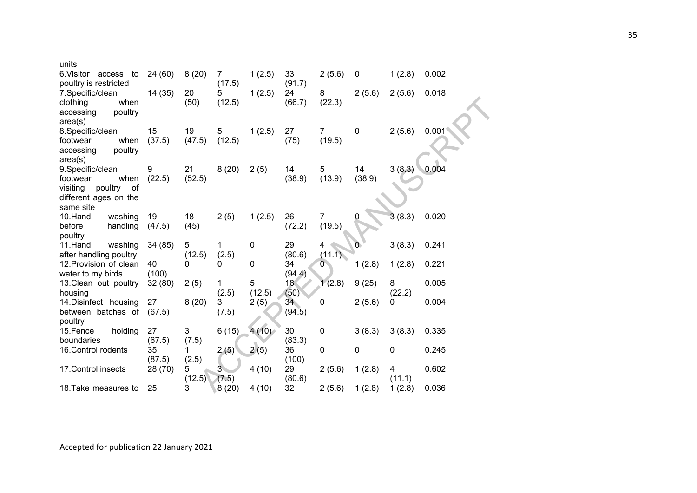| units<br>6. Visitor access to                    | 24(60)            | 8(20)                     | 7          | 1(2.5)      | 33                        | 2(5.6)                   | $\mathbf 0$ | 1(2.8) | 0.002 |
|--------------------------------------------------|-------------------|---------------------------|------------|-------------|---------------------------|--------------------------|-------------|--------|-------|
| poultry is restricted                            |                   |                           | (17.5)     |             | (91.7)                    |                          |             |        |       |
| 7.Specific/clean                                 | 14 (35)           | 20                        | 5          | 1(2.5)      | 24                        | 8                        | 2(5.6)      | 2(5.6) | 0.018 |
| clothing<br>when                                 |                   | (50)                      | (12.5)     |             | (66.7)                    | (22.3)                   |             |        |       |
| accessing<br>poultry<br>area(s)                  |                   |                           |            |             |                           |                          |             |        |       |
| 8.Specific/clean                                 | 15                | 19                        | 5          | 1(2.5)      | 27                        | $\overline{7}$           | $\mathbf 0$ | 2(5.6) | 0.001 |
| footwear<br>when                                 | (37.5)            | (47.5)                    | (12.5)     |             | (75)                      | (19.5)                   |             |        |       |
| poultry<br>accessing                             |                   |                           |            |             |                           |                          |             |        |       |
| area(s)<br>9. Specific/clean                     | 9                 | 21                        | 8(20)      | 2(5)        | 14                        | 5                        | 14          | 3(8.3) | 0.004 |
| footwear<br>when                                 | (22.5)            | (52.5)                    |            |             | (38.9)                    | (13.9)                   | (38.9)      |        |       |
| visiting<br>poultry<br>0f                        |                   |                           |            |             |                           |                          |             |        |       |
| different ages on the                            |                   |                           |            |             |                           |                          |             |        |       |
| same site<br>10.Hand<br>washing                  | 19                | 18                        | 2(5)       | 1(2.5)      | 26                        | $\overline{7}$           |             | 3(8.3) | 0.020 |
| before<br>handling                               | (47.5)            | (45)                      |            |             | (72.2)                    | (19.5)                   |             |        |       |
| poultry                                          |                   |                           |            |             |                           |                          |             |        |       |
| 11.Hand<br>washing                               | 34 (85)           | $\sqrt{5}$                | 1          | $\mathbf 0$ | 29                        | 4                        | O           | 3(8.3) | 0.241 |
| after handling poultry<br>12. Provision of clean | 40                | (12.5)<br>0               | (2.5)<br>0 | $\mathbf 0$ | (80.6)<br>34              | (11.1)<br>$\overline{0}$ | 1(2.8)      | 1(2.8) | 0.221 |
| water to my birds                                | (100)             |                           |            |             | (94.4)                    |                          |             |        |       |
| 13. Clean out poultry                            | 32(80)            | 2(5)                      | 1          | 5           | 18                        | 1(2.8)                   | 9(25)       | 8      | 0.005 |
| housing                                          |                   |                           | (2.5)      | (12.5)      | (50)                      |                          |             | (22.2) |       |
| 14. Disinfect housing<br>between batches of      | 27<br>(67.5)      | 8(20)                     | 3<br>(7.5) | 2(5)        | 34 <sup>°</sup><br>(94.5) | 0                        | 2(5.6)      | 0      | 0.004 |
| poultry                                          |                   |                           |            |             |                           |                          |             |        |       |
| 15.Fence<br>holding                              | 27                | $\ensuremath{\mathsf{3}}$ | 6(15)      | 4(10)       | 30                        | $\mathbf 0$              | 3(8.3)      | 3(8.3) | 0.335 |
| boundaries                                       | (67.5)            | (7.5)                     |            |             | (83.3)                    |                          |             |        |       |
| 16. Control rodents                              | 35                | 1                         | 2(5)       | 2(5)        | 36                        | $\mathbf 0$              | 0           | 0      | 0.245 |
| 17. Control insects                              | (87.5)<br>28 (70) | (2.5)<br>5                | 3.         | 4(10)       | (100)<br>29               | 2(5.6)                   | 1(2.8)      | 4      | 0.602 |
|                                                  |                   | (12.5)                    | (7.5)      |             | (80.6)                    |                          |             | (11.1) |       |
| 18. Take measures to                             | 25                | 3                         | 8(20)      | 4(10)       | 32                        | 2(5.6)                   | 1(2.8)      | 1(2.8) | 0.036 |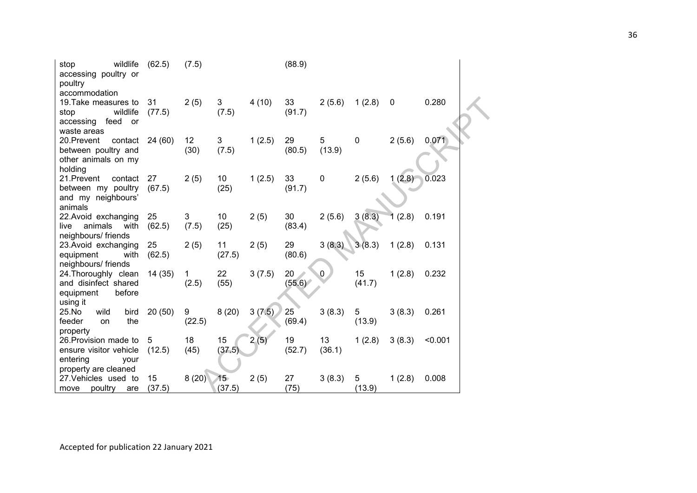| wildlife<br>stop<br>accessing poultry or<br>poultry<br>accommodation                        | (62.5)       | (7.5)       |                  |        | (88.9)       |              |              |             |         |
|---------------------------------------------------------------------------------------------|--------------|-------------|------------------|--------|--------------|--------------|--------------|-------------|---------|
| 19. Take measures to<br>stop<br>wildlife<br>accessing<br>feed<br>or<br>waste areas          | 31<br>(77.5) | 2(5)        | 3<br>(7.5)       | 4(10)  | 33<br>(91.7) | 2(5.6)       | 1(2.8)       | $\mathbf 0$ | 0.280   |
| 20.Prevent<br>contact<br>between poultry and<br>other animals on my<br>holding              | 24 (60)      | 12<br>(30)  | 3<br>(7.5)       | 1(2.5) | 29<br>(80.5) | 5<br>(13.9)  | $\mathbf 0$  | 2(5.6)      | 0.071   |
| 21.Prevent<br>contact<br>between my poultry<br>and my neighbours'<br>animals                | 27<br>(67.5) | 2(5)        | 10<br>(25)       | 1(2.5) | 33<br>(91.7) | $\pmb{0}$    | 2(5.6)       | 1(2.8)      | 0.023   |
| 22. Avoid exchanging<br>animals<br>live<br>with<br>neighbours/ friends                      | 25<br>(62.5) | 3<br>(7.5)  | 10<br>(25)       | 2(5)   | 30<br>(83.4) | 2(5.6)       | 3(8.3)       | (2.8)       | 0.191   |
| 23. Avoid exchanging<br>equipment<br>with<br>neighbours/ friends                            | 25<br>(62.5) | 2(5)        | 11<br>(27.5)     | 2(5)   | 29<br>(80.6) | 3(8.3)       | 3(8.3)       | 1(2.8)      | 0.131   |
| 24. Thoroughly clean<br>and disinfect shared<br>equipment<br>before<br>using it             | 14 (35)      | 1<br>(2.5)  | 22<br>(55)       | 3(7.5) | 20<br>(55.6) | $\mathbf{0}$ | 15<br>(41.7) | 1(2.8)      | 0.232   |
| 25.No<br>bird<br>wild<br>feeder<br>the<br>on<br>property                                    | 20(50)       | 9<br>(22.5) | 8(20)            | 3(7.5) | 25<br>(69.4) | 3(8.3)       | 5<br>(13.9)  | 3(8.3)      | 0.261   |
| 26. Provision made to<br>ensure visitor vehicle<br>entering<br>vour<br>property are cleaned | 5<br>(12.5)  | 18<br>(45)  | 15<br>(37.5)     | 2(5)   | 19<br>(52.7) | 13<br>(36.1) | 1(2.8)       | 3(8.3)      | < 0.001 |
| 27. Vehicles used to<br>poultry<br>move<br>are                                              | 15<br>(37.5) | 8(20)       | $15 -$<br>(37.5) | 2(5)   | 27<br>(75)   | 3(8.3)       | 5<br>(13.9)  | 1(2.8)      | 0.008   |

Accepted for publication 22 January 2021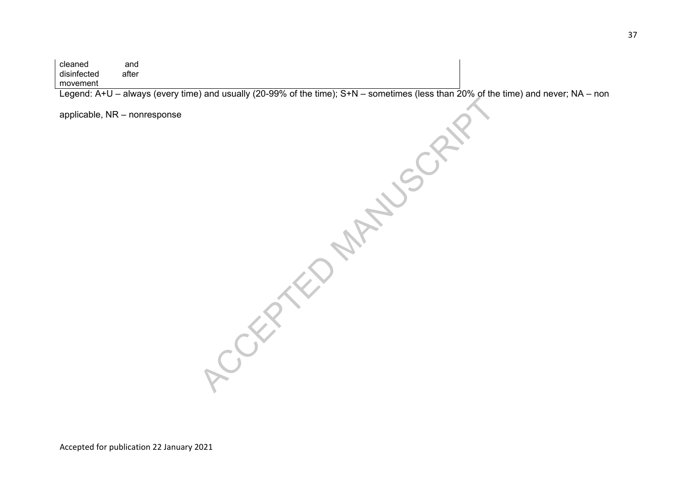cleaned and disinfected after movement

Legend: A+U – always (every time) and usually (20-99% of the time); S+N – sometimes (less than 20% of the time) and never; NA – non

applicable, NR – nonresponse

ACCEPTED MANUSCRIPT